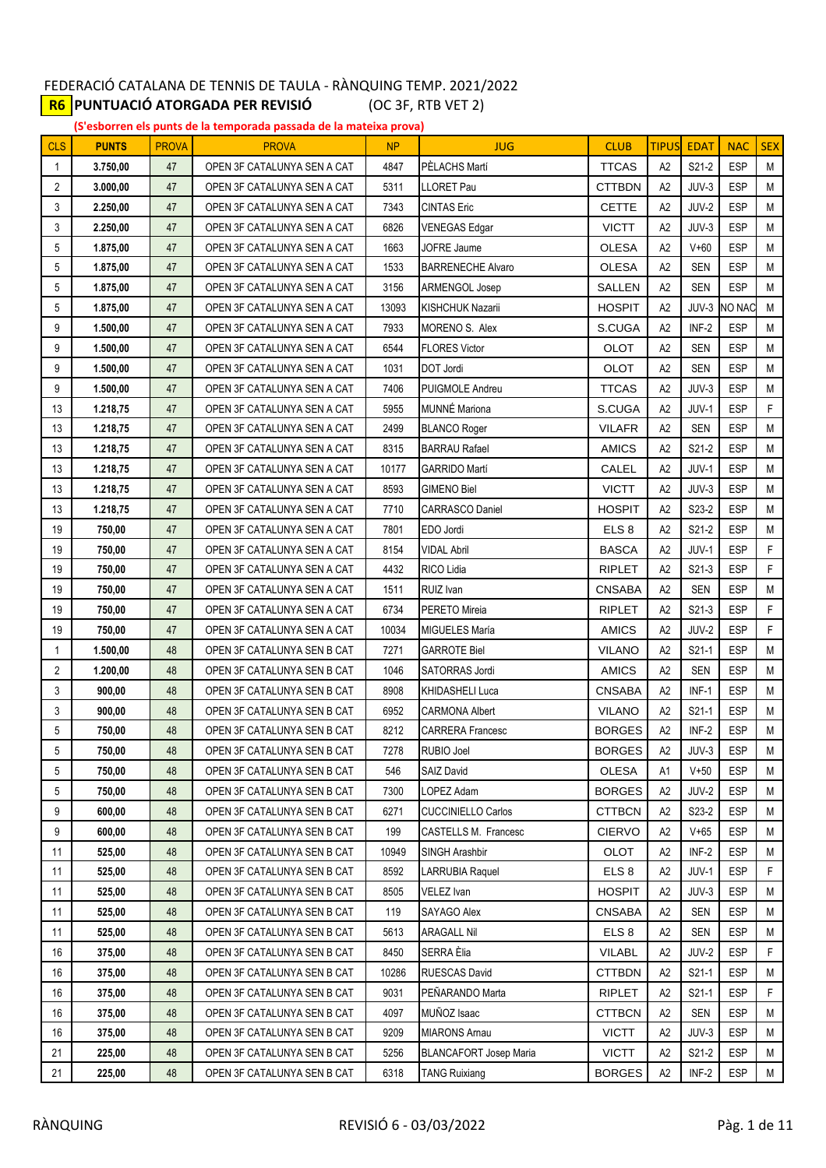## FEDERACIÓ CATALANA DE TENNIS DE TAULA - RÀNQUING TEMP. 2021/2022 **R6 PUNTUACIÓ ATORGADA PER REVISIÓ** (OC 3F, RTB VET 2)

**(S'esborren els punts de la temporada passada de la mateixa prova)**

| <b>CLS</b> | <b>PUNTS</b>     | <b>PROVA</b> | <b>PROVA</b>                                               | <b>NP</b>   | <b>JUG</b>                                               | <b>CLUB</b>                    | <b>TIPUS</b>         | <b>EDAT</b>                  | <b>NAC</b>               | <b>SEX</b> |
|------------|------------------|--------------|------------------------------------------------------------|-------------|----------------------------------------------------------|--------------------------------|----------------------|------------------------------|--------------------------|------------|
| 1          | 3.750,00         | 47           | OPEN 3F CATALUNYA SEN A CAT                                | 4847        | PÈLACHS Martí                                            | <b>TTCAS</b>                   | A2                   | S21-2                        | ESP                      | М          |
| 2          | 3.000,00         | 47           | OPEN 3F CATALUNYA SEN A CAT                                | 5311        | LLORET Pau                                               | <b>CTTBDN</b>                  | A2                   | JUV-3                        | <b>ESP</b>               | M          |
| 3          | 2.250.00         | 47           | OPEN 3F CATALUNYA SEN A CAT                                | 7343        | <b>CINTAS Eric</b>                                       | <b>CETTE</b>                   | A <sub>2</sub>       | JUV-2                        | <b>ESP</b>               | M          |
| 3          | 2.250,00         | 47           | OPEN 3F CATALUNYA SEN A CAT                                | 6826        | <b>VENEGAS Edgar</b>                                     | <b>VICTT</b>                   | A2                   | JUV-3                        | ESP                      | M          |
| 5          | 1.875,00         | 47           | OPEN 3F CATALUNYA SEN A CAT                                | 1663        | <b>JOFRE Jaume</b>                                       | <b>OLESA</b>                   | A2                   | $V+60$                       | <b>ESP</b>               | M          |
| 5          | 1.875,00         | 47           | OPEN 3F CATALUNYA SEN A CAT                                | 1533        | <b>BARRENECHE Alvaro</b>                                 | <b>OLESA</b>                   | A2                   | <b>SEN</b>                   | <b>ESP</b>               | M          |
| 5          | 1.875,00         | 47           | OPEN 3F CATALUNYA SEN A CAT                                | 3156        | <b>ARMENGOL Josep</b>                                    | SALLEN                         | A2                   | <b>SEN</b>                   | <b>ESP</b>               | M          |
| 5          | 1.875.00         | 47           | OPEN 3F CATALUNYA SEN A CAT                                | 13093       | <b>KISHCHUK Nazarii</b>                                  | <b>HOSPIT</b>                  | A2                   | JUV-3                        | <b>NO NAC</b>            | M          |
| 9          | 1.500,00         | 47           | OPEN 3F CATALUNYA SEN A CAT                                | 7933        | MORENO S. Alex                                           | S.CUGA                         | A2                   | INF-2                        | ESP                      | M          |
| 9          | 1.500,00         | 47           | OPEN 3F CATALUNYA SEN A CAT                                | 6544        | <b>FLORES Victor</b>                                     | <b>OLOT</b>                    | A2                   | <b>SEN</b>                   | <b>ESP</b>               | M          |
| 9          | 1.500,00         | 47           | OPEN 3F CATALUNYA SEN A CAT                                | 1031        | DOT Jordi                                                | OLOT                           | A2                   | <b>SEN</b>                   | <b>ESP</b>               | M          |
| 9          | 1.500,00         | 47           | OPEN 3F CATALUNYA SEN A CAT                                | 7406        | PUIGMOLE Andreu                                          | <b>TTCAS</b>                   | A2                   | JUV-3                        | <b>ESP</b>               | M          |
| 13         | 1.218,75         | 47           | OPEN 3F CATALUNYA SEN A CAT                                | 5955        | MUNNÉ Mariona                                            | S.CUGA                         | A2                   | JUV-1                        | <b>ESP</b>               | F          |
| 13         | 1.218,75         | 47           | OPEN 3F CATALUNYA SEN A CAT                                | 2499        | <b>BLANCO Roger</b>                                      | <b>VILAFR</b>                  | A2                   | <b>SEN</b>                   | <b>ESP</b>               | M          |
| 13         | 1.218.75         | 47           | OPEN 3F CATALUNYA SEN A CAT                                | 8315        | <b>BARRAU Rafael</b>                                     | <b>AMICS</b>                   | A2                   | S21-2                        | <b>ESP</b>               | M          |
| 13         | 1.218,75         | 47           | OPEN 3F CATALUNYA SEN A CAT                                | 10177       | <b>GARRIDO Martí</b>                                     | CALEL                          | A <sub>2</sub>       | JUV-1                        | <b>ESP</b>               | M          |
| 13         | 1.218,75         | 47           | OPEN 3F CATALUNYA SEN A CAT                                | 8593        | <b>GIMENO Biel</b>                                       | <b>VICTT</b>                   | A2                   | JUV-3                        | <b>ESP</b>               | M          |
| 13         | 1.218,75         | 47           | OPEN 3F CATALUNYA SEN A CAT                                | 7710        | <b>CARRASCO Daniel</b>                                   | <b>HOSPIT</b>                  | A <sub>2</sub>       | S23-2                        | <b>ESP</b>               | M          |
| 19         | 750,00           | 47           | OPEN 3F CATALUNYA SEN A CAT                                | 7801        | EDO Jordi                                                | ELS <sub>8</sub>               | A2                   | S21-2                        | <b>ESP</b>               | M          |
| 19         | 750,00           | 47           | OPEN 3F CATALUNYA SEN A CAT                                | 8154        | <b>VIDAL Abril</b>                                       | <b>BASCA</b>                   | A2                   | JUV-1                        | <b>ESP</b>               | F          |
| 19         | 750,00           | 47           | OPEN 3F CATALUNYA SEN A CAT                                | 4432        | RICO Lidia                                               | <b>RIPLET</b>                  | A2                   | S21-3                        | <b>ESP</b>               | F          |
| 19         | 750,00           | 47           | OPEN 3F CATALUNYA SEN A CAT                                | 1511        | RUIZ Ivan                                                | <b>CNSABA</b>                  | A <sub>2</sub>       | <b>SEN</b>                   | ESP                      | M          |
| 19         | 750,00           | 47           | OPEN 3F CATALUNYA SEN A CAT                                | 6734        | PERETO Mireia                                            | <b>RIPLET</b>                  | A <sub>2</sub>       | S21-3                        | <b>ESP</b>               | F          |
| 19         | 750,00           | 47           | OPEN 3F CATALUNYA SEN A CAT                                | 10034       | MIGUELES María                                           | <b>AMICS</b>                   | A2                   | JUV-2                        | <b>ESP</b>               | F.         |
| 1          | 1.500,00         | 48           | OPEN 3F CATALUNYA SEN B CAT                                | 7271        | <b>GARROTE Biel</b>                                      | VILANO                         | A2                   | S21-1                        | <b>ESP</b>               | M          |
| 2          | 1.200,00         | 48           | OPEN 3F CATALUNYA SEN B CAT                                | 1046        | SATORRAS Jordi                                           | <b>AMICS</b>                   | A <sub>2</sub>       | <b>SEN</b>                   | <b>ESP</b>               | M          |
| 3          | 900,00           | 48           | OPEN 3F CATALUNYA SEN B CAT                                | 8908        | KHIDASHELI Luca                                          | <b>CNSABA</b>                  | A2                   | $INF-1$                      | <b>ESP</b>               | M          |
| 3          | 900,00           | 48           | OPEN 3F CATALUNYA SEN B CAT                                | 6952        | <b>CARMONA Albert</b>                                    | <b>VILANO</b>                  | A2                   | $S21-1$                      | <b>ESP</b>               | M          |
| 5          | 750,00           | 48           | OPEN 3F CATALUNYA SEN B CAT                                | 8212        | <b>CARRERA Francesc</b>                                  | <b>BORGES</b>                  | A2                   | INF-2                        | <b>ESP</b>               | M          |
| 5          | 750,00           | 48           | OPEN 3F CATALUNYA SEN B CAT                                | 7278        | <b>RUBIO Joel</b>                                        | <b>BORGES</b>                  | A <sub>2</sub>       | JUV-3                        | <b>ESP</b>               | M          |
| 5          | 750,00           | 48           | OPEN 3F CATALUNYA SEN B CAT                                | 546         | SAIZ David                                               | <b>OLESA</b>                   | Α1                   | $V+50$                       | <b>ESP</b>               | М          |
| 5<br>9     | 750,00           | 48           | OPEN 3F CATALUNYA SEN B CAT                                | 7300        | LOPEZ Adam                                               | <b>BORGES</b>                  | A <sub>2</sub>       | JUV-2                        | <b>ESP</b>               | M          |
| 9          | 600,00<br>600,00 | 48<br>48     | OPEN 3F CATALUNYA SEN B CAT<br>OPEN 3F CATALUNYA SEN B CAT | 6271<br>199 | <b>CUCCINIELLO Carlos</b><br><b>CASTELLS M. Francesc</b> | <b>CTTBCN</b><br><b>CIERVO</b> | А2<br>A <sub>2</sub> | S <sub>2</sub> 3-2<br>$V+65$ | <b>ESP</b><br><b>ESP</b> | М<br>M     |
| 11         | 525,00           | 48           | OPEN 3F CATALUNYA SEN B CAT                                | 10949       | SINGH Arashbir                                           | OLOT                           | A2                   | INF-2                        | <b>ESP</b>               | М          |
| 11         | 525,00           | 48           | OPEN 3F CATALUNYA SEN B CAT                                | 8592        | <b>LARRUBIA Raquel</b>                                   | ELS <sub>8</sub>               | A2                   | JUV-1                        | <b>ESP</b>               | F.         |
| 11         | 525,00           | 48           | OPEN 3F CATALUNYA SEN B CAT                                | 8505        | VELEZ Ivan                                               | <b>HOSPIT</b>                  | A2                   | JUV-3                        | <b>ESP</b>               | M          |
| 11         | 525,00           | 48           | OPEN 3F CATALUNYA SEN B CAT                                | 119         | SAYAGO Alex                                              | <b>CNSABA</b>                  | A2                   | <b>SEN</b>                   | <b>ESP</b>               | M          |
| 11         | 525,00           | 48           | OPEN 3F CATALUNYA SEN B CAT                                | 5613        | <b>ARAGALL Nil</b>                                       | ELS <sub>8</sub>               | A2                   | <b>SEN</b>                   | <b>ESP</b>               | M          |
| 16         | 375,00           | 48           | OPEN 3F CATALUNYA SEN B CAT                                | 8450        | SERRA Èlia                                               | <b>VILABL</b>                  | А2                   | JUV-2                        | <b>ESP</b>               | F          |
| 16         | 375,00           | 48           | OPEN 3F CATALUNYA SEN B CAT                                | 10286       | RUESCAS David                                            | <b>CTTBDN</b>                  | A <sub>2</sub>       | S21-1                        | <b>ESP</b>               | M          |
| 16         | 375,00           | 48           | OPEN 3F CATALUNYA SEN B CAT                                | 9031        | PEÑARANDO Marta                                          | <b>RIPLET</b>                  | A <sub>2</sub>       | S21-1                        | <b>ESP</b>               | F.         |
| 16         | 375,00           | 48           | OPEN 3F CATALUNYA SEN B CAT                                | 4097        | MUÑOZ Isaac                                              | <b>CTTBCN</b>                  | A2                   | <b>SEN</b>                   | <b>ESP</b>               | М          |
| 16         | 375,00           | 48           | OPEN 3F CATALUNYA SEN B CAT                                | 9209        | <b>MIARONS Arnau</b>                                     | <b>VICTT</b>                   | A2                   | JUV-3                        | <b>ESP</b>               | M          |
| 21         | 225,00           | 48           | OPEN 3F CATALUNYA SEN B CAT                                | 5256        | <b>BLANCAFORT Josep Maria</b>                            | <b>VICTT</b>                   | A2                   | S21-2                        | <b>ESP</b>               | М          |
| 21         | 225,00           | 48           | OPEN 3F CATALUNYA SEN B CAT                                | 6318        | <b>TANG Ruixiang</b>                                     | <b>BORGES</b>                  | A <sub>2</sub>       | INF-2                        | ESP                      | M          |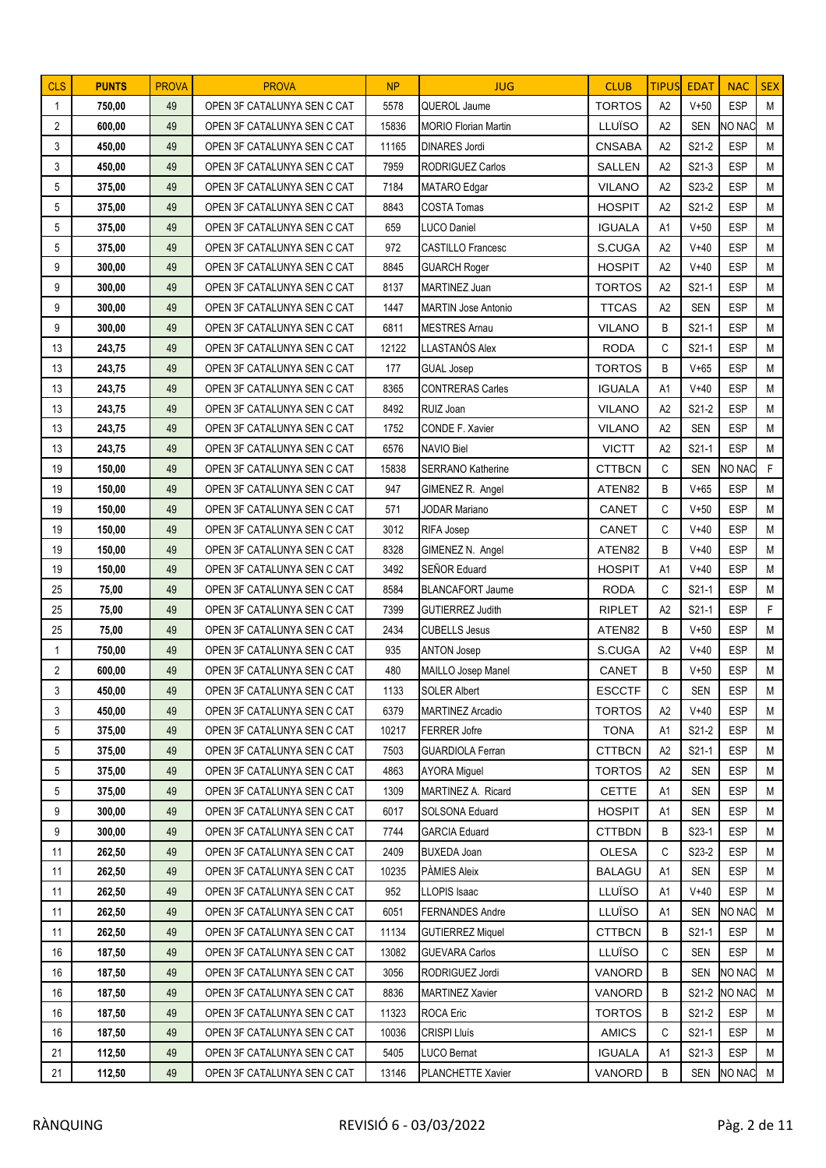| <b>CLS</b>     | <b>PUNTS</b> | <b>PROVA</b> | <b>PROVA</b>                | <b>NP</b> | <b>JUG</b>                  | <b>CLUB</b>   | <b>TIPUS</b> | <b>EDAT</b>        | <b>NAC</b>   | <b>SEX</b> |
|----------------|--------------|--------------|-----------------------------|-----------|-----------------------------|---------------|--------------|--------------------|--------------|------------|
| 1              | 750,00       | 49           | OPEN 3F CATALUNYA SEN C CAT | 5578      | QUEROL Jaume                | <b>TORTOS</b> | A2           | $V+50$             | <b>ESP</b>   | M          |
| 2              | 600,00       | 49           | OPEN 3F CATALUNYA SEN C CAT | 15836     | <b>MORIO Florian Martin</b> | LLUÏSO        | A2           | <b>SEN</b>         | NO NAC       | M          |
| 3              | 450,00       | 49           | OPEN 3F CATALUNYA SEN C CAT | 11165     | <b>DINARES Jordi</b>        | <b>CNSABA</b> | A2           | S21-2              | <b>ESP</b>   | M          |
| 3              | 450,00       | 49           | OPEN 3F CATALUNYA SEN C CAT | 7959      | <b>RODRIGUEZ Carlos</b>     | SALLEN        | A2           | $S21-3$            | <b>ESP</b>   | M          |
| 5              | 375,00       | 49           | OPEN 3F CATALUNYA SEN C CAT | 7184      | MATARO Edgar                | <b>VILANO</b> | A2           | S23-2              | <b>ESP</b>   | M          |
| 5              | 375,00       | 49           | OPEN 3F CATALUNYA SEN C CAT | 8843      | <b>COSTA Tomas</b>          | <b>HOSPIT</b> | A2           | S21-2              | <b>ESP</b>   | M          |
| 5              | 375,00       | 49           | OPEN 3F CATALUNYA SEN C CAT | 659       | LUCO Daniel                 | <b>IGUALA</b> | A1           | $V+50$             | <b>ESP</b>   | M          |
| 5              | 375,00       | 49           | OPEN 3F CATALUNYA SEN C CAT | 972       | <b>CASTILLO Francesc</b>    | S.CUGA        | A2           | $V+40$             | <b>ESP</b>   | M          |
| 9              | 300,00       | 49           | OPEN 3F CATALUNYA SEN C CAT | 8845      | <b>GUARCH Roger</b>         | <b>HOSPIT</b> | A2           | $V + 40$           | <b>ESP</b>   | M          |
| 9              | 300,00       | 49           | OPEN 3F CATALUNYA SEN C CAT | 8137      | MARTINEZ Juan               | <b>TORTOS</b> | A2           | $S21-1$            | <b>ESP</b>   | M          |
| 9              | 300,00       | 49           | OPEN 3F CATALUNYA SEN C CAT | 1447      | MARTIN Jose Antonio         | <b>TTCAS</b>  | A2           | <b>SEN</b>         | <b>ESP</b>   | M          |
| 9              | 300,00       | 49           | OPEN 3F CATALUNYA SEN C CAT | 6811      | <b>MESTRES Amau</b>         | <b>VILANO</b> | B            | S21-1              | <b>ESP</b>   | M          |
| 13             | 243,75       | 49           | OPEN 3F CATALUNYA SEN C CAT | 12122     | LLASTANÓS Alex              | <b>RODA</b>   | C            | $S21-1$            | <b>ESP</b>   | M          |
| 13             | 243,75       | 49           | OPEN 3F CATALUNYA SEN C CAT | 177       | <b>GUAL Josep</b>           | <b>TORTOS</b> | B            | $V + 65$           | <b>ESP</b>   | M          |
| 13             | 243,75       | 49           | OPEN 3F CATALUNYA SEN C CAT | 8365      | <b>CONTRERAS Carles</b>     | <b>IGUALA</b> | A1           | $V + 40$           | <b>ESP</b>   | M          |
| 13             | 243,75       | 49           | OPEN 3F CATALUNYA SEN C CAT | 8492      | RUIZ Joan                   | <b>VILANO</b> | A2           | S21-2              | <b>ESP</b>   | M          |
| 13             | 243,75       | 49           | OPEN 3F CATALUNYA SEN C CAT | 1752      | CONDE F. Xavier             | <b>VILANO</b> | A2           | <b>SEN</b>         | <b>ESP</b>   | M          |
| 13             | 243,75       | 49           | OPEN 3F CATALUNYA SEN C CAT | 6576      | <b>NAVIO Biel</b>           | <b>VICTT</b>  | A2           | $S21-1$            | <b>ESP</b>   | M          |
| 19             | 150,00       | 49           | OPEN 3F CATALUNYA SEN C CAT | 15838     | <b>SERRANO Katherine</b>    | <b>CTTBCN</b> | C            | <b>SEN</b>         | NO NAC       | F          |
| 19             | 150,00       | 49           | OPEN 3F CATALUNYA SEN C CAT | 947       | GIMENEZ R. Angel            | ATEN82        | B            | $V+65$             | <b>ESP</b>   | M          |
| 19             | 150,00       | 49           | OPEN 3F CATALUNYA SEN C CAT | 571       | <b>JODAR Mariano</b>        | <b>CANET</b>  | C            | $V+50$             | <b>ESP</b>   | M          |
| 19             | 150,00       | 49           | OPEN 3F CATALUNYA SEN C CAT | 3012      | RIFA Josep                  | <b>CANET</b>  | C            | $V+40$             | <b>ESP</b>   | M          |
| 19             | 150,00       | 49           | OPEN 3F CATALUNYA SEN C CAT | 8328      | GIMENEZ N. Angel            | ATEN82        | B            | $V+40$             | <b>ESP</b>   | M          |
| 19             | 150,00       | 49           | OPEN 3F CATALUNYA SEN C CAT | 3492      | SEÑOR Eduard                | <b>HOSPIT</b> | A1           | $V + 40$           | <b>ESP</b>   | M          |
| 25             | 75,00        | 49           | OPEN 3F CATALUNYA SEN C CAT | 8584      | <b>BLANCAFORT Jaume</b>     | <b>RODA</b>   | C            | $S21-1$            | <b>ESP</b>   | M          |
| 25             | 75,00        | 49           | OPEN 3F CATALUNYA SEN C CAT | 7399      | <b>GUTIERREZ Judith</b>     | <b>RIPLET</b> | A2           | S21-1              | <b>ESP</b>   | F          |
| 25             | 75,00        | 49           | OPEN 3F CATALUNYA SEN C CAT | 2434      | <b>CUBELLS Jesus</b>        | ATEN82        | B            | $V+50$             | <b>ESP</b>   | M          |
| $\mathbf{1}$   | 750,00       | 49           | OPEN 3F CATALUNYA SEN C CAT | 935       | <b>ANTON Josep</b>          | S.CUGA        | A2           | $V+40$             | <b>ESP</b>   | M          |
| $\overline{2}$ | 600,00       | 49           | OPEN 3F CATALUNYA SEN C CAT | 480       | MAILLO Josep Manel          | CANET         | B            | $V+50$             | <b>ESP</b>   | M          |
| 3              | 450,00       | 49           | OPEN 3F CATALUNYA SEN C CAT | 1133      | <b>SOLER Albert</b>         | <b>ESCCTF</b> | C            | SEN                | <b>ESP</b>   | M          |
| 3              | 450,00       | 49           | OPEN 3F CATALUNYA SEN C CAT | 6379      | <b>MARTINEZ Arcadio</b>     | <b>TORTOS</b> | A2           | $V + 40$           | <b>ESP</b>   | M          |
| 5              | 375,00       | 49           | OPEN 3F CATALUNYA SEN C CAT | 10217     | <b>FERRER Jofre</b>         | <b>TONA</b>   | A1           | S21-2              | <b>ESP</b>   | M          |
| 5              | 375,00       | 49           | OPEN 3F CATALUNYA SEN C CAT | 7503      | <b>GUARDIOLA Ferran</b>     | <b>CTTBCN</b> | A2           | S21-1              | ESP          | M          |
| 5              | 375,00       | 49           | OPEN 3F CATALUNYA SEN C CAT | 4863      | <b>AYORA Miguel</b>         | <b>TORTOS</b> | A2           | SEN                | <b>ESP</b>   | M          |
| 5              | 375,00       | 49           | OPEN 3F CATALUNYA SEN C CAT | 1309      | MARTINEZ A. Ricard          | <b>CETTE</b>  | A1           | SEN                | <b>ESP</b>   | M          |
| 9              | 300,00       | 49           | OPEN 3F CATALUNYA SEN C CAT | 6017      | SOLSONA Eduard              | <b>HOSPIT</b> | A1           | SEN                | <b>ESP</b>   | M          |
| 9              | 300,00       | 49           | OPEN 3F CATALUNYA SEN C CAT | 7744      | <b>GARCIA Eduard</b>        | <b>CTTBDN</b> | В            | S <sub>2</sub> 3-1 | <b>ESP</b>   | М          |
| 11             | 262,50       | 49           | OPEN 3F CATALUNYA SEN C CAT | 2409      | <b>BUXEDA Joan</b>          | <b>OLESA</b>  | C            | S23-2              | <b>ESP</b>   | M          |
| 11             | 262,50       | 49           | OPEN 3F CATALUNYA SEN C CAT | 10235     | PÀMIES Aleix                | <b>BALAGU</b> | A1           | <b>SEN</b>         | <b>ESP</b>   | M          |
| 11             | 262,50       | 49           | OPEN 3F CATALUNYA SEN C CAT | 952       | LLOPIS Isaac                | LLUÏSO        | A1           | V+40               | <b>ESP</b>   | M          |
| 11             | 262,50       | 49           | OPEN 3F CATALUNYA SEN C CAT | 6051      | <b>FERNANDES Andre</b>      | LLUÏSO        | A1           | SEN                | NO NAC       | M          |
| 11             | 262,50       | 49           | OPEN 3F CATALUNYA SEN C CAT | 11134     | <b>GUTIERREZ Miquel</b>     | <b>CTTBCN</b> | В            | S21-1              | <b>ESP</b>   | М          |
| 16             | 187,50       | 49           | OPEN 3F CATALUNYA SEN C CAT | 13082     | <b>GUEVARA Carlos</b>       | LLUÏSO        | С            | SEN                | <b>ESP</b>   | M          |
| 16             | 187,50       | 49           | OPEN 3F CATALUNYA SEN C CAT | 3056      | RODRIGUEZ Jordi             | VANORD        | В            | SEN                | NO NAC       | M          |
| 16             | 187,50       | 49           | OPEN 3F CATALUNYA SEN C CAT | 8836      | <b>MARTINEZ Xavier</b>      | VANORD        | В            |                    | S21-2 NO NAC | M          |
| 16             | 187,50       | 49           | OPEN 3F CATALUNYA SEN C CAT | 11323     | ROCA Eric                   | <b>TORTOS</b> | B            | S21-2              | <b>ESP</b>   | M          |
| 16             | 187,50       | 49           | OPEN 3F CATALUNYA SEN C CAT | 10036     | <b>CRISPI Lluís</b>         | <b>AMICS</b>  | C            | S21-1              | <b>ESP</b>   | M          |
| 21             | 112,50       | 49           | OPEN 3F CATALUNYA SEN C CAT | 5405      | LUCO Bernat                 | <b>IGUALA</b> | A1           | $S21-3$            | <b>ESP</b>   | M          |
| 21             | 112,50       | 49           | OPEN 3F CATALUNYA SEN C CAT | 13146     | <b>PLANCHETTE Xavier</b>    | VANORD        | В            | SEN                | NO NAC       | M          |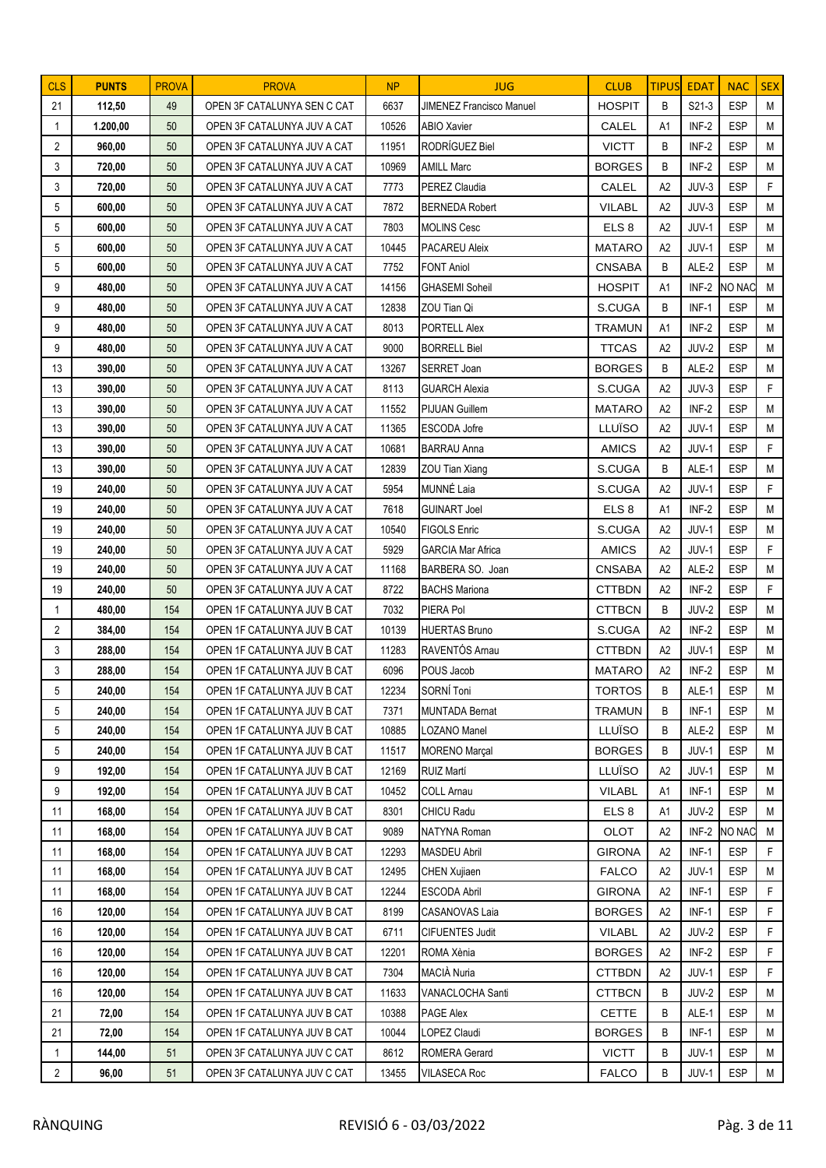| <b>CLS</b>     | <b>PUNTS</b>     | <b>PROVA</b> | <b>PROVA</b>                                               | NP             | <b>JUG</b>                                 | <b>CLUB</b>                    | <b>TIPUS</b>   | <b>EDAT</b>      | <b>NAC</b>               | <b>SEX</b> |
|----------------|------------------|--------------|------------------------------------------------------------|----------------|--------------------------------------------|--------------------------------|----------------|------------------|--------------------------|------------|
| 21             | 112,50           | 49           | OPEN 3F CATALUNYA SEN C CAT                                | 6637           | JIMENEZ Francisco Manuel                   | <b>HOSPIT</b>                  | B              | S21-3            | <b>ESP</b>               | M          |
| 1              | 1.200,00         | 50           | OPEN 3F CATALUNYA JUV A CAT                                | 10526          | <b>ABIO Xavier</b>                         | CALEL                          | A1             | INF-2            | <b>ESP</b>               | M          |
| $\overline{2}$ | 960,00           | 50           | OPEN 3F CATALUNYA JUV A CAT                                | 11951          | RODRÍGUEZ Biel                             | <b>VICTT</b>                   | B              | INF-2            | <b>ESP</b>               | M          |
| 3              | 720,00           | 50           | OPEN 3F CATALUNYA JUV A CAT                                | 10969          | <b>AMILL Marc</b>                          | <b>BORGES</b>                  | B              | INF-2            | <b>ESP</b>               | M          |
| 3              | 720,00           | 50           | OPEN 3F CATALUNYA JUV A CAT                                | 7773           | PEREZ Claudia                              | CALEL                          | A <sub>2</sub> | JUV-3            | <b>ESP</b>               | F          |
| 5              | 600,00           | 50           | OPEN 3F CATALUNYA JUV A CAT                                | 7872           | <b>BERNEDA Robert</b>                      | <b>VILABL</b>                  | A2             | JUV-3            | <b>ESP</b>               | M          |
| 5              | 600,00           | 50           | OPEN 3F CATALUNYA JUV A CAT                                | 7803           | <b>MOLINS Cesc</b>                         | ELS <sub>8</sub>               | A2             | JUV-1            | <b>ESP</b>               | M          |
| 5              | 600,00           | 50           | OPEN 3F CATALUNYA JUV A CAT                                | 10445          | PACAREU Aleix                              | <b>MATARO</b>                  | A2             | JUV-1            | <b>ESP</b>               | M          |
| 5              | 600,00           | 50           | OPEN 3F CATALUNYA JUV A CAT                                | 7752           | <b>FONT Aniol</b>                          | <b>CNSABA</b>                  | B              | ALE-2            | <b>ESP</b>               | M          |
| 9              | 480,00           | 50           | OPEN 3F CATALUNYA JUV A CAT                                | 14156          | <b>GHASEMI Soheil</b>                      | <b>HOSPIT</b>                  | A1             | INF-2            | NO NAC                   | M          |
| 9              | 480,00           | 50           | OPEN 3F CATALUNYA JUV A CAT                                | 12838          | ZOU Tian Qi                                | S.CUGA                         | B              | INF-1            | <b>ESP</b>               | M          |
| 9              | 480,00           | 50           | OPEN 3F CATALUNYA JUV A CAT                                | 8013           | <b>PORTELL Alex</b>                        | <b>TRAMUN</b>                  | A1             | INF-2            | <b>ESP</b>               | M          |
| 9              | 480,00           | 50           | OPEN 3F CATALUNYA JUV A CAT                                | 9000           | <b>BORRELL Biel</b>                        | <b>TTCAS</b>                   | A2             | JUV-2            | <b>ESP</b>               | M          |
| 13             | 390,00           | 50           | OPEN 3F CATALUNYA JUV A CAT                                | 13267          | SERRET Joan                                | <b>BORGES</b>                  | B              | ALE-2            | <b>ESP</b>               | M          |
| 13             | 390,00           | 50           | OPEN 3F CATALUNYA JUV A CAT                                | 8113           | <b>GUARCH Alexia</b>                       | S.CUGA                         | A2             | JUV-3            | <b>ESP</b>               | F          |
| 13             | 390,00           | 50           | OPEN 3F CATALUNYA JUV A CAT                                | 11552          | <b>PIJUAN Guillem</b>                      | <b>MATARO</b>                  | A2             | INF-2            | <b>ESP</b>               | M          |
| 13             | 390,00           | 50           | OPEN 3F CATALUNYA JUV A CAT                                | 11365          | ESCODA Jofre                               | LLUÏSO                         | A2             | JUV-1            | <b>ESP</b>               | M          |
| 13             | 390,00           | 50           | OPEN 3F CATALUNYA JUV A CAT                                | 10681          | <b>BARRAU Anna</b>                         | <b>AMICS</b>                   | A2             | JUV-1            | <b>ESP</b>               | F          |
| 13             | 390,00           | 50           | OPEN 3F CATALUNYA JUV A CAT                                | 12839          | ZOU Tian Xiang                             | S.CUGA                         | B              | ALE-1            | <b>ESP</b>               | M          |
| 19             | 240,00           | 50           | OPEN 3F CATALUNYA JUV A CAT                                | 5954           | MUNNÉ Laia                                 | S.CUGA                         | A2             | JUV-1            | <b>ESP</b>               | F          |
| 19             | 240,00           | 50           | OPEN 3F CATALUNYA JUV A CAT                                | 7618           | <b>GUINART Joel</b>                        | ELS 8                          | A1             | INF-2            | <b>ESP</b>               | M          |
| 19             | 240,00           | 50           | OPEN 3F CATALUNYA JUV A CAT                                | 10540          | <b>FIGOLS Enric</b>                        | S.CUGA                         | A2             | JUV-1            | <b>ESP</b>               | M          |
| 19             | 240,00           | 50           | OPEN 3F CATALUNYA JUV A CAT                                | 5929           | <b>GARCIA Mar Africa</b>                   | <b>AMICS</b>                   | A2             | JUV-1            | <b>ESP</b>               | F          |
| 19             | 240,00           | 50           | OPEN 3F CATALUNYA JUV A CAT                                | 11168          | BARBERA SO. Joan                           | <b>CNSABA</b>                  | A2             | ALE-2            | <b>ESP</b>               | M          |
| 19             | 240,00           | 50           | OPEN 3F CATALUNYA JUV A CAT                                | 8722           | <b>BACHS Mariona</b>                       | <b>CTTBDN</b>                  | A2             | INF-2            | <b>ESP</b>               | F          |
| 1              | 480,00           | 154          | OPEN 1F CATALUNYA JUV B CAT                                | 7032           | PIERA Pol                                  | <b>CTTBCN</b>                  | B              | JUV-2            | <b>ESP</b>               | M          |
| $\overline{2}$ | 384,00           | 154          | OPEN 1F CATALUNYA JUV B CAT                                | 10139          | <b>HUERTAS Bruno</b>                       | S.CUGA                         | A2             | INF-2            | <b>ESP</b>               | M          |
| 3              | 288,00           | 154          | OPEN 1F CATALUNYA JUV B CAT                                | 11283          | RAVENTÓS Arnau                             | <b>CTTBDN</b>                  | A2             | JUV-1            | <b>ESP</b>               | M          |
| 3              | 288,00           | 154          | OPEN 1F CATALUNYA JUV B CAT                                | 6096           | POUS Jacob                                 | <b>MATARO</b>                  | A2             | INF-2            | <b>ESP</b>               | M          |
| 5              | 240,00           | 154          | OPEN 1F CATALUNYA JUV B CAT                                | 12234          | SORNÍ Toni                                 | <b>TORTOS</b>                  | B              | ALE-1            | <b>ESP</b>               | M          |
| 5              | 240,00           | 154          | OPEN 1F CATALUNYA JUV B CAT                                | 7371           | MUNTADA Bernat                             | <b>TRAMUN</b>                  | B              | $INF-1$          | <b>ESP</b>               | M          |
| 5              | 240,00           | 154          | OPEN 1F CATALUNYA JUV B CAT                                | 10885          | <b>LOZANO Manel</b>                        | LLUÏSO                         | В              | ALE-2            | <b>ESP</b>               | M          |
| 5              | 240,00           | 154          | OPEN 1F CATALUNYA JUV B CAT                                | 11517          | <b>MORENO Marçal</b>                       | <b>BORGES</b>                  | В              | JUV-1            | ESP                      | М          |
| 9              | 192,00           | 154          | OPEN 1F CATALUNYA JUV B CAT                                | 12169          | RUIZ Martí                                 | LLUÏSO                         | A2             | JUV-1            | <b>ESP</b>               | M          |
| 9              | 192,00           | 154          | OPEN 1F CATALUNYA JUV B CAT                                | 10452          | <b>COLL Arnau</b>                          | <b>VILABL</b>                  | A1             | INF-1            | <b>ESP</b>               | M          |
| 11             | 168,00           | 154          | OPEN 1F CATALUNYA JUV B CAT                                | 8301           | CHICU Radu                                 | ELS <sub>8</sub>               | A1             | JUV-2            | <b>ESP</b>               | M          |
| 11             | 168,00           | 154          | OPEN 1F CATALUNYA JUV B CAT                                | 9089           | NATYNA Roman                               | OLOT                           | A2             | INF-2            | NO NAC                   | M<br>F.    |
| 11             | 168,00           | 154          | OPEN 1F CATALUNYA JUV B CAT                                | 12293<br>12495 | <b>MASDEU Abril</b><br><b>CHEN Xujiaen</b> | <b>GIRONA</b><br><b>FALCO</b>  | A2             | $INF-1$<br>JUV-1 | <b>ESP</b><br><b>ESP</b> | M          |
| 11             | 168,00           | 154          | OPEN 1F CATALUNYA JUV B CAT                                | 12244          |                                            |                                | A2             |                  |                          | F          |
| 11             | 168,00           | 154<br>154   | OPEN 1F CATALUNYA JUV B CAT                                |                | ESCODA Abril                               | <b>GIRONA</b>                  | A2<br>A2       | INF-1            | <b>ESP</b><br><b>ESP</b> | F          |
| 16             | 120,00           |              | OPEN 1F CATALUNYA JUV B CAT                                | 8199           | CASANOVAS Laia                             | <b>BORGES</b>                  |                | INF-1            |                          |            |
| 16<br>16       | 120,00<br>120,00 | 154<br>154   | OPEN 1F CATALUNYA JUV B CAT<br>OPEN 1F CATALUNYA JUV B CAT | 6711<br>12201  | <b>CIFUENTES Judit</b><br>ROMA Xènia       | <b>VILABL</b><br><b>BORGES</b> | A2<br>A2       | JUV-2<br>INF-2   | <b>ESP</b><br><b>ESP</b> | F<br>F     |
| 16             | 120,00           | 154          | OPEN 1F CATALUNYA JUV B CAT                                | 7304           | MACIÀ Nuria                                | <b>CTTBDN</b>                  | A2             | JUV-1            | <b>ESP</b>               | F          |
| 16             | 120,00           | 154          | OPEN 1F CATALUNYA JUV B CAT                                | 11633          | VANACLOCHA Santi                           | <b>CTTBCN</b>                  | В              | JUV-2            | <b>ESP</b>               | M          |
| 21             | 72,00            | 154          | OPEN 1F CATALUNYA JUV B CAT                                | 10388          | PAGE Alex                                  | <b>CETTE</b>                   | B              | ALE-1            | <b>ESP</b>               | M          |
| 21             | 72,00            | 154          | OPEN 1F CATALUNYA JUV B CAT                                | 10044          | OPEZ Claudi                                | <b>BORGES</b>                  | В              | INF-1            | <b>ESP</b>               | M          |
| 1              | 144,00           | 51           | OPEN 3F CATALUNYA JUV C CAT                                | 8612           | <b>ROMERA Gerard</b>                       | <b>VICTT</b>                   | B              | JUV-1            | <b>ESP</b>               | M          |
| $\overline{2}$ | 96,00            | 51           | OPEN 3F CATALUNYA JUV C CAT                                | 13455          | <b>VILASECA Roc</b>                        | <b>FALCO</b>                   | В              | JUV-1            | <b>ESP</b>               | M          |
|                |                  |              |                                                            |                |                                            |                                |                |                  |                          |            |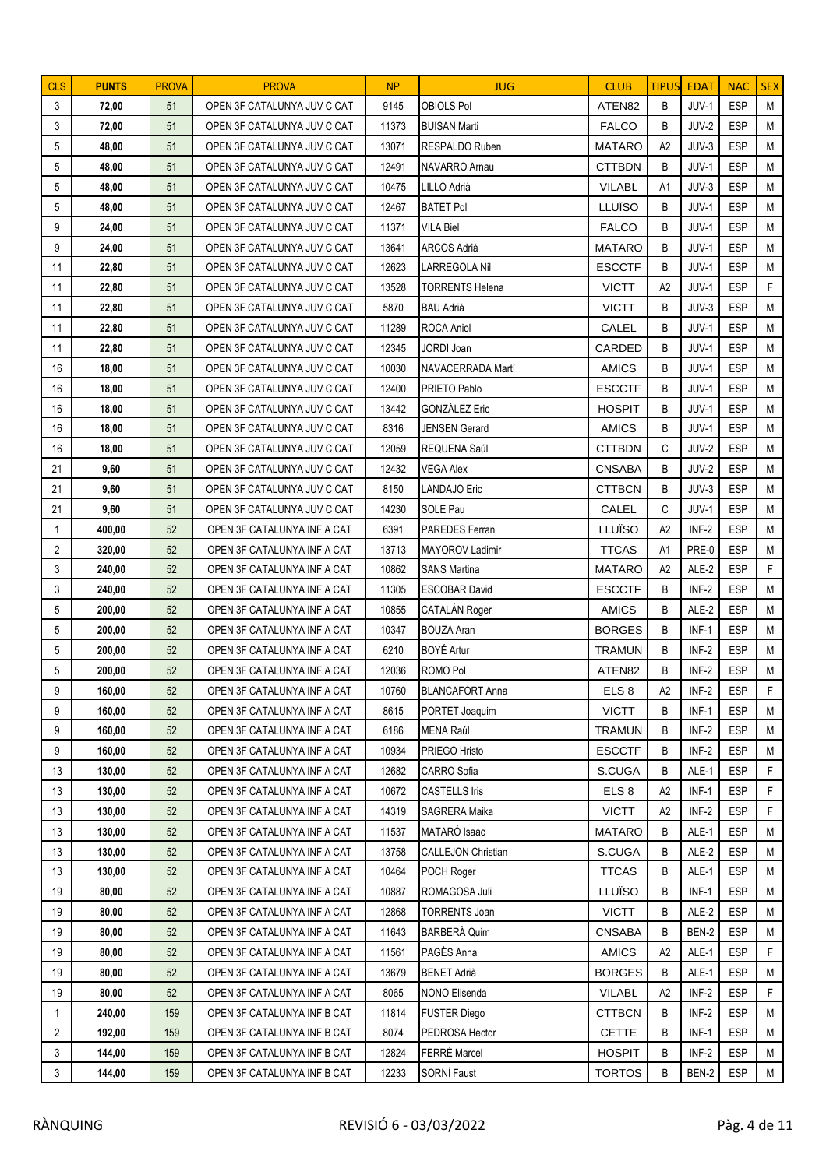| <b>CLS</b>     | <b>PUNTS</b> | <b>PROVA</b> | <b>PROVA</b>                | <b>NP</b> | <b>JUG</b>                | <b>CLUB</b>      | <b>TIPUS</b>   | <b>EDAT</b> | <b>NAC</b> | <b>SEX</b>   |
|----------------|--------------|--------------|-----------------------------|-----------|---------------------------|------------------|----------------|-------------|------------|--------------|
| 3              | 72,00        | 51           | OPEN 3F CATALUNYA JUV C CAT | 9145      | <b>OBIOLS Pol</b>         | ATEN82           | B              | JUV-1       | <b>ESP</b> | M            |
| 3              | 72,00        | 51           | OPEN 3F CATALUNYA JUV C CAT | 11373     | <b>BUISAN Marti</b>       | <b>FALCO</b>     | B              | JUV-2       | <b>ESP</b> | M            |
| 5              | 48,00        | 51           | OPEN 3F CATALUNYA JUV C CAT | 13071     | <b>RESPALDO Ruben</b>     | <b>MATARO</b>    | A2             | JUV-3       | <b>ESP</b> | M            |
| 5              | 48,00        | 51           | OPEN 3F CATALUNYA JUV C CAT | 12491     | NAVARRO Arnau             | <b>CTTBDN</b>    | B              | JUV-1       | <b>ESP</b> | M            |
| 5              | 48,00        | 51           | OPEN 3F CATALUNYA JUV C CAT | 10475     | LILLO Adrià               | <b>VILABL</b>    | A1             | JUV-3       | <b>ESP</b> | M            |
| 5              | 48,00        | 51           | OPEN 3F CATALUNYA JUV C CAT | 12467     | BATET Pol                 | LLUÏSO           | B              | JUV-1       | <b>ESP</b> | M            |
| 9              | 24,00        | 51           | OPEN 3F CATALUNYA JUV C CAT | 11371     | <b>VILA Biel</b>          | <b>FALCO</b>     | B              | JUV-1       | <b>ESP</b> | M            |
| 9              | 24,00        | 51           | OPEN 3F CATALUNYA JUV C CAT | 13641     | <b>ARCOS Adrià</b>        | <b>MATARO</b>    | B              | JUV-1       | <b>ESP</b> | M            |
| 11             | 22,80        | 51           | OPEN 3F CATALUNYA JUV C CAT | 12623     | <b>LARREGOLA Nil</b>      | <b>ESCCTF</b>    | B              | JUV-1       | <b>ESP</b> | M            |
| 11             | 22,80        | 51           | OPEN 3F CATALUNYA JUV C CAT | 13528     | <b>TORRENTS Helena</b>    | <b>VICTT</b>     | A2             | JUV-1       | <b>ESP</b> | F            |
| 11             | 22,80        | 51           | OPEN 3F CATALUNYA JUV C CAT | 5870      | <b>BAU Adrià</b>          | <b>VICTT</b>     | B              | JUV-3       | <b>ESP</b> | M            |
| 11             | 22,80        | 51           | OPEN 3F CATALUNYA JUV C CAT | 11289     | <b>ROCA Aniol</b>         | CALEL            | B              | JUV-1       | <b>ESP</b> | M            |
| 11             | 22,80        | 51           | OPEN 3F CATALUNYA JUV C CAT | 12345     | <b>JORDI Joan</b>         | CARDED           | B              | JUV-1       | <b>ESP</b> | M            |
| 16             | 18,00        | 51           | OPEN 3F CATALUNYA JUV C CAT | 10030     | NAVACERRADA Martí         | <b>AMICS</b>     | B              | JUV-1       | <b>ESP</b> | M            |
| 16             | 18,00        | 51           | OPEN 3F CATALUNYA JUV C CAT | 12400     | PRIETO Pablo              | <b>ESCCTF</b>    | B              | JUV-1       | <b>ESP</b> | M            |
| 16             | 18,00        | 51           | OPEN 3F CATALUNYA JUV C CAT | 13442     | <b>GONZÁLEZ Eric</b>      | <b>HOSPIT</b>    | B              | JUV-1       | <b>ESP</b> | M            |
| 16             | 18,00        | 51           | OPEN 3F CATALUNYA JUV C CAT | 8316      | <b>JENSEN Gerard</b>      | <b>AMICS</b>     | B              | JUV-1       | <b>ESP</b> | M            |
| 16             | 18,00        | 51           | OPEN 3F CATALUNYA JUV C CAT | 12059     | REQUENA Saúl              | <b>CTTBDN</b>    | C              | JUV-2       | <b>ESP</b> | M            |
| 21             | 9,60         | 51           | OPEN 3F CATALUNYA JUV C CAT | 12432     | <b>VEGA Alex</b>          | <b>CNSABA</b>    | B              | JUV-2       | <b>ESP</b> | M            |
| 21             | 9,60         | 51           | OPEN 3F CATALUNYA JUV C CAT | 8150      | <b>LANDAJO Eric</b>       | <b>CTTBCN</b>    | B              | JUV-3       | <b>ESP</b> | M            |
| 21             | 9,60         | 51           | OPEN 3F CATALUNYA JUV C CAT | 14230     | SOLE Pau                  | CALEL            | C              | JUV-1       | <b>ESP</b> | M            |
| 1              | 400,00       | 52           | OPEN 3F CATALUNYA INF A CAT | 6391      | PAREDES Ferran            | LLUÏSO           | A2             | INF-2       | <b>ESP</b> | M            |
| $\overline{2}$ | 320,00       | 52           | OPEN 3F CATALUNYA INF A CAT | 13713     | MAYOROV Ladimir           | <b>TTCAS</b>     | A1             | PRE-0       | <b>ESP</b> | M            |
| 3              | 240,00       | 52           | OPEN 3F CATALUNYA INF A CAT | 10862     | <b>SANS Martina</b>       | <b>MATARO</b>    | A2             | ALE-2       | <b>ESP</b> | F            |
| 3              | 240,00       | 52           | OPEN 3F CATALUNYA INF A CAT | 11305     | <b>ESCOBAR David</b>      | <b>ESCCTF</b>    | B              | INF-2       | <b>ESP</b> | M            |
| 5              | 200,00       | 52           | OPEN 3F CATALUNYA INF A CAT | 10855     | CATALÁN Roger             | <b>AMICS</b>     | B              | ALE-2       | <b>ESP</b> | M            |
| 5              | 200,00       | 52           | OPEN 3F CATALUNYA INF A CAT | 10347     | <b>BOUZA Aran</b>         | <b>BORGES</b>    | B              | $INF-1$     | <b>ESP</b> | M            |
| 5              | 200,00       | 52           | OPEN 3F CATALUNYA INF A CAT | 6210      | BOYÉ Artur                | <b>TRAMUN</b>    | B              | INF-2       | <b>ESP</b> | M            |
| 5              | 200,00       | 52           | OPEN 3F CATALUNYA INF A CAT | 12036     | ROMO Pol                  | ATEN82           | B              | INF-2       | <b>ESP</b> | $\mathsf{M}$ |
| 9              | 160,00       | 52           | OPEN 3F CATALUNYA INF A CAT | 10760     | <b>BLANCAFORT Anna</b>    | ELS <sub>8</sub> | A <sub>2</sub> | $INF-2$     | ESP        | F            |
| 9              | 160,00       | 52           | OPEN 3F CATALUNYA INF A CAT | 8615      | PORTET Joaquim            | <b>VICTT</b>     | B              | $INF-1$     | <b>ESP</b> | M            |
| 9              | 160,00       | 52           | OPEN 3F CATALUNYA INF A CAT | 6186      | MENA Raúl                 | <b>TRAMUN</b>    | В              | INF-2       | <b>ESP</b> | М            |
| 9              | 160,00       | 52           | OPEN 3F CATALUNYA INF A CAT | 10934     | PRIEGO Hristo             | <b>ESCCTF</b>    | B              | INF-2       | <b>ESP</b> | M            |
| 13             | 130.00       | 52           | OPEN 3F CATALUNYA INF A CAT | 12682     | CARRO Sofia               | S.CUGA           | B              | ALE-1       | <b>ESP</b> | F            |
| 13             | 130,00       | 52           | OPEN 3F CATALUNYA INF A CAT | 10672     | <b>CASTELLS Iris</b>      | ELS <sub>8</sub> | A2             | INF-1       | <b>ESP</b> | F            |
| 13             | 130,00       | 52           | OPEN 3F CATALUNYA INF A CAT | 14319     | SAGRERA Maika             | <b>VICTT</b>     | A2             | INF-2       | <b>ESP</b> | F            |
| 13             | 130,00       | 52           | OPEN 3F CATALUNYA INF A CAT | 11537     | MATARÓ Isaac              | <b>MATARO</b>    | В              | ALE-1       | <b>ESP</b> | М            |
| 13             | 130,00       | 52           | OPEN 3F CATALUNYA INF A CAT | 13758     | <b>CALLEJON Christian</b> | S.CUGA           | B              | ALE-2       | <b>ESP</b> | М            |
| 13             | 130,00       | 52           | OPEN 3F CATALUNYA INF A CAT | 10464     | POCH Roger                | <b>TTCAS</b>     | B              | ALE-1       | <b>ESP</b> | M            |
| 19             | 80,00        | 52           | OPEN 3F CATALUNYA INF A CAT | 10887     | ROMAGOSA Juli             | LLUÏSO           | B              | $INF-1$     | <b>ESP</b> | М            |
| 19             | 80,00        | 52           | OPEN 3F CATALUNYA INF A CAT | 12868     | <b>TORRENTS Joan</b>      | <b>VICTT</b>     | B              | ALE-2       | <b>ESP</b> | M            |
| 19             | 80,00        | 52           | OPEN 3F CATALUNYA INF A CAT | 11643     | BARBERÀ Quim              | <b>CNSABA</b>    | B              | BEN-2       | <b>ESP</b> | M            |
| 19             | 80,00        | 52           | OPEN 3F CATALUNYA INF A CAT | 11561     | PAGÈS Anna                | <b>AMICS</b>     | A2             | ALE-1       | <b>ESP</b> | F            |
| 19             | 80,00        | 52           | OPEN 3F CATALUNYA INF A CAT | 13679     | <b>BENET Adrià</b>        | <b>BORGES</b>    | В              | ALE-1       | <b>ESP</b> | Μ            |
| 19             | 80,00        | 52           | OPEN 3F CATALUNYA INF A CAT | 8065      | NONO Elisenda             | <b>VILABL</b>    | A2             | INF-2       | <b>ESP</b> | F.           |
| 1              | 240,00       | 159          | OPEN 3F CATALUNYA INF B CAT | 11814     | <b>FUSTER Diego</b>       | <b>CTTBCN</b>    | B              | INF-2       | <b>ESP</b> | M            |
| 2              | 192,00       | 159          | OPEN 3F CATALUNYA INF B CAT | 8074      | PEDROSA Hector            | <b>CETTE</b>     | В              | INF-1       | ESP        | M            |
| 3              | 144,00       | 159          | OPEN 3F CATALUNYA INF B CAT | 12824     | FERRÉ Marcel              | <b>HOSPIT</b>    | B              | INF-2       | <b>ESP</b> | M            |
| 3              | 144,00       | 159          | OPEN 3F CATALUNYA INF B CAT | 12233     | SORNÍ Faust               | <b>TORTOS</b>    | В              | BEN-2       | <b>ESP</b> | M            |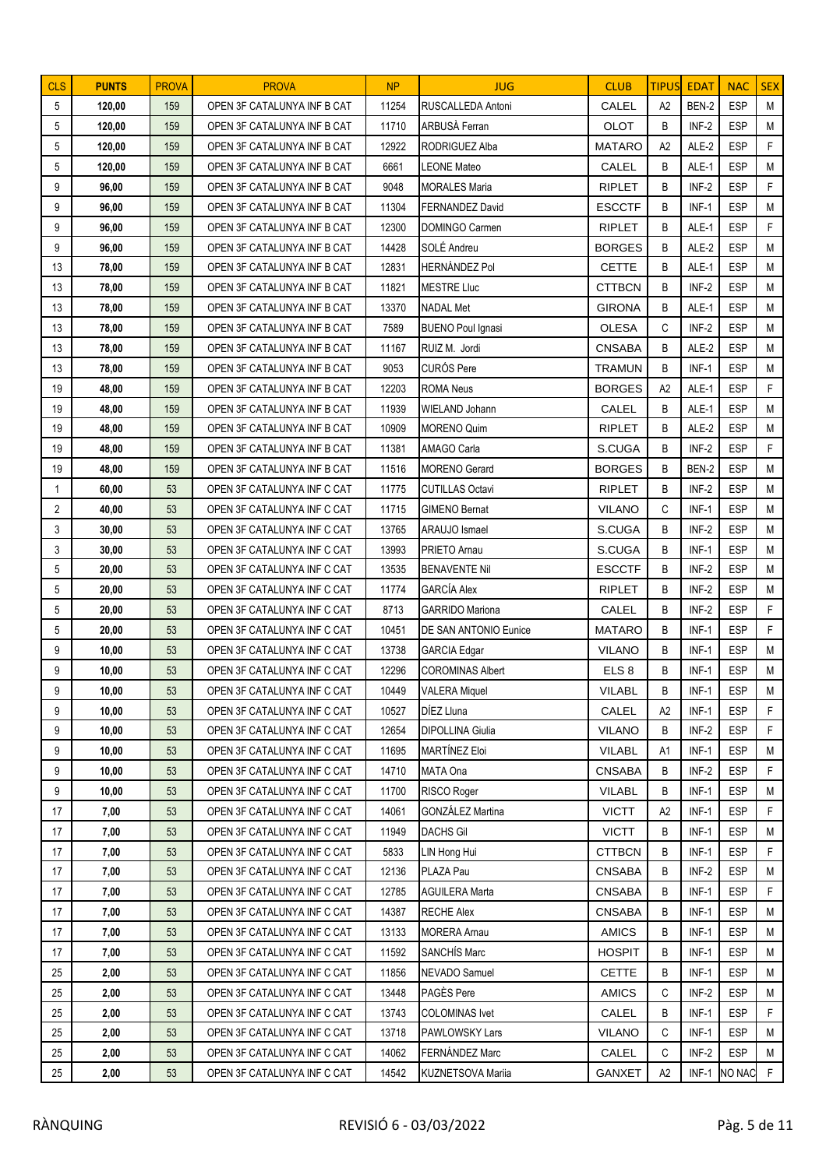| <b>CLS</b>     | <b>PUNTS</b>   | <b>PROVA</b> | <b>PROVA</b>                                               | <b>NP</b>      | <b>JUG</b>                        | <b>CLUB</b>                    | <b>TIPUS</b> | <b>EDAT</b>      | <b>NAC</b>               | <b>SEX</b>  |
|----------------|----------------|--------------|------------------------------------------------------------|----------------|-----------------------------------|--------------------------------|--------------|------------------|--------------------------|-------------|
| 5              | 120,00         | 159          | OPEN 3F CATALUNYA INF B CAT                                | 11254          | RUSCALLEDA Antoni                 | CALEL                          | A2           | BEN-2            | <b>ESP</b>               | M           |
| 5              | 120,00         | 159          | OPEN 3F CATALUNYA INF B CAT                                | 11710          | ARBUSÀ Ferran                     | OLOT                           | B            | INF-2            | <b>ESP</b>               | M           |
| 5              | 120,00         | 159          | OPEN 3F CATALUNYA INF B CAT                                | 12922          | RODRIGUEZ Alba                    | <b>MATARO</b>                  | A2           | ALE-2            | <b>ESP</b>               | F           |
| 5              | 120,00         | 159          | OPEN 3F CATALUNYA INF B CAT                                | 6661           | <b>LEONE Mateo</b>                | CALEL                          | B            | ALE-1            | <b>ESP</b>               | M           |
| 9              | 96,00          | 159          | OPEN 3F CATALUNYA INF B CAT                                | 9048           | <b>MORALES Maria</b>              | <b>RIPLET</b>                  | B            | INF-2            | <b>ESP</b>               | F           |
| 9              | 96,00          | 159          | OPEN 3F CATALUNYA INF B CAT                                | 11304          | <b>FERNANDEZ David</b>            | <b>ESCCTF</b>                  | B            | $INF-1$          | <b>ESP</b>               | M           |
| 9              | 96,00          | 159          | OPEN 3F CATALUNYA INF B CAT                                | 12300          | DOMINGO Carmen                    | <b>RIPLET</b>                  | B            | ALE-1            | <b>ESP</b>               | F           |
| 9              | 96,00          | 159          | OPEN 3F CATALUNYA INF B CAT                                | 14428          | SOLÉ Andreu                       | <b>BORGES</b>                  | B            | ALE-2            | <b>ESP</b>               | M           |
| 13             | 78,00          | 159          | OPEN 3F CATALUNYA INF B CAT                                | 12831          | <b>HERNÁNDEZ Pol</b>              | <b>CETTE</b>                   | B            | ALE-1            | <b>ESP</b>               | M           |
| 13             | 78,00          | 159          | OPEN 3F CATALUNYA INF B CAT                                | 11821          | <b>MESTRE Lluc</b>                | <b>CTTBCN</b>                  | B            | INF-2            | <b>ESP</b>               | M           |
| 13             | 78,00          | 159          | OPEN 3F CATALUNYA INF B CAT                                | 13370          | NADAL Met                         | <b>GIRONA</b>                  | B            | ALE-1            | <b>ESP</b>               | M           |
| 13             | 78,00          | 159          | OPEN 3F CATALUNYA INF B CAT                                | 7589           | <b>BUENO Poul Ignasi</b>          | <b>OLESA</b>                   | C            | INF-2            | <b>ESP</b>               | M           |
| 13             | 78,00          | 159          | OPEN 3F CATALUNYA INF B CAT                                | 11167          | RUIZ M. Jordi                     | <b>CNSABA</b>                  | B            | ALE-2            | <b>ESP</b>               | M           |
| 13             | 78,00          | 159          | OPEN 3F CATALUNYA INF B CAT                                | 9053           | <b>CURÓS Pere</b>                 | <b>TRAMUN</b>                  | B            | $INF-1$          | <b>ESP</b>               | M           |
| 19             | 48,00          | 159          | OPEN 3F CATALUNYA INF B CAT                                | 12203          | <b>ROMA Neus</b>                  | <b>BORGES</b>                  | A2           | ALE-1            | <b>ESP</b>               | F           |
| 19             | 48,00          | 159          | OPEN 3F CATALUNYA INF B CAT                                | 11939          | WIELAND Johann                    | CALEL                          | B            | ALE-1            | <b>ESP</b>               | M           |
| 19             | 48,00          | 159          | OPEN 3F CATALUNYA INF B CAT                                | 10909          | <b>MORENO Quim</b>                | <b>RIPLET</b>                  | B            | ALE-2            | <b>ESP</b>               | M           |
| 19             | 48,00          | 159          | OPEN 3F CATALUNYA INF B CAT                                | 11381          | AMAGO Carla                       | S.CUGA                         | B            | INF-2            | <b>ESP</b>               | F           |
| 19             | 48,00          | 159          | OPEN 3F CATALUNYA INF B CAT                                | 11516          | <b>MORENO</b> Gerard              | <b>BORGES</b>                  | B            | BEN-2            | <b>ESP</b>               | M           |
| $\mathbf{1}$   | 60,00          | 53           | OPEN 3F CATALUNYA INF C CAT                                | 11775          | <b>CUTILLAS Octavi</b>            | <b>RIPLET</b>                  | B            | INF-2            | <b>ESP</b>               | M           |
| $\overline{2}$ | 40,00          | 53           | OPEN 3F CATALUNYA INF C CAT                                | 11715          | <b>GIMENO Bernat</b>              | <b>VILANO</b>                  | C            | $INF-1$          | <b>ESP</b>               | M           |
| 3              | 30,00          | 53           | OPEN 3F CATALUNYA INF C CAT                                | 13765          | ARAUJO Ismael                     | S.CUGA                         | B            | INF-2            | <b>ESP</b>               | M           |
| 3              | 30,00          | 53           | OPEN 3F CATALUNYA INF C CAT                                | 13993          | PRIETO Arnau                      | S.CUGA                         | B            | $INF-1$          | <b>ESP</b>               | M           |
| 5              | 20,00          | 53           | OPEN 3F CATALUNYA INF C CAT                                | 13535          | <b>BENAVENTE Nil</b>              | <b>ESCCTF</b>                  | B            | INF-2            | <b>ESP</b>               | M           |
| 5              | 20,00          | 53           | OPEN 3F CATALUNYA INF C CAT                                | 11774          | GARCÍA Alex                       | <b>RIPLET</b>                  | B            | INF-2            | <b>ESP</b>               | M           |
| 5              | 20,00          | 53           | OPEN 3F CATALUNYA INF C CAT                                | 8713           | <b>GARRIDO Mariona</b>            | CALEL                          | B            | INF-2            | <b>ESP</b>               | F.          |
| 5              | 20,00          | 53           | OPEN 3F CATALUNYA INF C CAT                                | 10451          | DE SAN ANTONIO Eunice             | <b>MATARO</b>                  | B            | $INF-1$          | <b>ESP</b>               | F           |
| 9              | 10,00          | 53           | OPEN 3F CATALUNYA INF C CAT                                | 13738          | <b>GARCIA Edgar</b>               | <b>VILANO</b>                  | B            | $INF-1$          | <b>ESP</b>               | M           |
| 9              | 10,00          | 53           | OPEN 3F CATALUNYA INF C CAT                                | 12296          | <b>COROMINAS Albert</b>           | ELS <sub>8</sub>               | B            | $INF-1$          | <b>ESP</b>               | M           |
| 9              | 10,00          | 53           | OPEN 3F CATALUNYA INF C CAT                                | 10449          | <b>VALERA Miquel</b>              | <b>VILABL</b>                  | B            | $INF-1$          | <b>ESP</b>               | M           |
| 9              | 10,00          | 53           | OPEN 3F CATALUNYA INF C CAT<br>OPEN 3F CATALUNYA INF C CAT | 10527<br>12654 | DÍEZ Lluna                        | CALEL                          | A2           | $INF-1$<br>INF-2 | <b>ESP</b><br><b>ESP</b> | F.<br>F     |
| 9<br>9         | 10,00          | 53           | OPEN 3F CATALUNYA INF C CAT                                |                | DIPOLLINA Giulia<br>MARTÍNEZ Eloi | <b>VILANO</b><br><b>VILABL</b> | B            |                  |                          | M           |
| 9              | 10,00<br>10,00 | 53<br>53     | OPEN 3F CATALUNYA INF C CAT                                | 11695<br>14710 | MATA Ona                          | <b>CNSABA</b>                  | A1<br>В      | INF-1<br>INF-2   | ESP<br><b>ESP</b>        | F           |
| 9              | 10,00          | 53           | OPEN 3F CATALUNYA INF C CAT                                | 11700          | RISCO Roger                       | <b>VILABL</b>                  | B            | INF-1            | <b>ESP</b>               | M           |
| 17             | 7,00           | 53           | OPEN 3F CATALUNYA INF C CAT                                | 14061          | GONZÁLEZ Martina                  | <b>VICTT</b>                   | A2           | $INF-1$          | <b>ESP</b>               | F.          |
| 17             | 7,00           | 53           | OPEN 3F CATALUNYA INF C CAT                                | 11949          | <b>DACHS Gil</b>                  | <b>VICTT</b>                   | В            | INF-1            | <b>ESP</b>               | М           |
| 17             | 7,00           | 53           | OPEN 3F CATALUNYA INF C CAT                                | 5833           | LIN Hong Hui                      | <b>CTTBCN</b>                  | B            | $INF-1$          | <b>ESP</b>               | F.          |
| 17             | 7,00           | 53           | OPEN 3F CATALUNYA INF C CAT                                | 12136          | PLAZA Pau                         | <b>CNSABA</b>                  | B            | INF-2            | <b>ESP</b>               | M           |
| 17             | 7,00           | 53           | OPEN 3F CATALUNYA INF C CAT                                | 12785          | <b>AGUILERA Marta</b>             | <b>CNSABA</b>                  | В            | $INF-1$          | <b>ESP</b>               | F           |
| 17             | 7,00           | 53           | OPEN 3F CATALUNYA INF C CAT                                | 14387          | <b>RECHE Alex</b>                 | <b>CNSABA</b>                  | B            | INF-1            | <b>ESP</b>               | M           |
| 17             | 7,00           | 53           | OPEN 3F CATALUNYA INF C CAT                                | 13133          | <b>MORERA Arnau</b>               | <b>AMICS</b>                   | В            | INF-1            | <b>ESP</b>               | М           |
| 17             | 7,00           | 53           | OPEN 3F CATALUNYA INF C CAT                                | 11592          | SANCHÍS Marc                      | <b>HOSPIT</b>                  | B            | $INF-1$          | <b>ESP</b>               | М           |
| 25             | 2,00           | 53           | OPEN 3F CATALUNYA INF C CAT                                | 11856          | NEVADO Samuel                     | <b>CETTE</b>                   | В            | $INF-1$          | <b>ESP</b>               | M           |
| 25             | 2,00           | 53           | OPEN 3F CATALUNYA INF C CAT                                | 13448          | PAGÈS Pere                        | <b>AMICS</b>                   | С            | INF-2            | <b>ESP</b>               | M           |
| 25             | 2,00           | 53           | OPEN 3F CATALUNYA INF C CAT                                | 13743          | <b>COLOMINAS Ivet</b>             | CALEL                          | B            | $INF-1$          | <b>ESP</b>               | F           |
| 25             | 2,00           | 53           | OPEN 3F CATALUNYA INF C CAT                                | 13718          | PAWLOWSKY Lars                    | <b>VILANO</b>                  | С            | INF-1            | <b>ESP</b>               | М           |
| 25             | 2,00           | 53           | OPEN 3F CATALUNYA INF C CAT                                | 14062          | FERNÁNDEZ Marc                    | CALEL                          | C            | INF-2            | <b>ESP</b>               | M           |
| 25             | 2,00           | 53           | OPEN 3F CATALUNYA INF C CAT                                | 14542          | KUZNETSOVA Mariia                 | <b>GANXET</b>                  | A2           | $INF-1$          | NO NAC                   | $\mathsf F$ |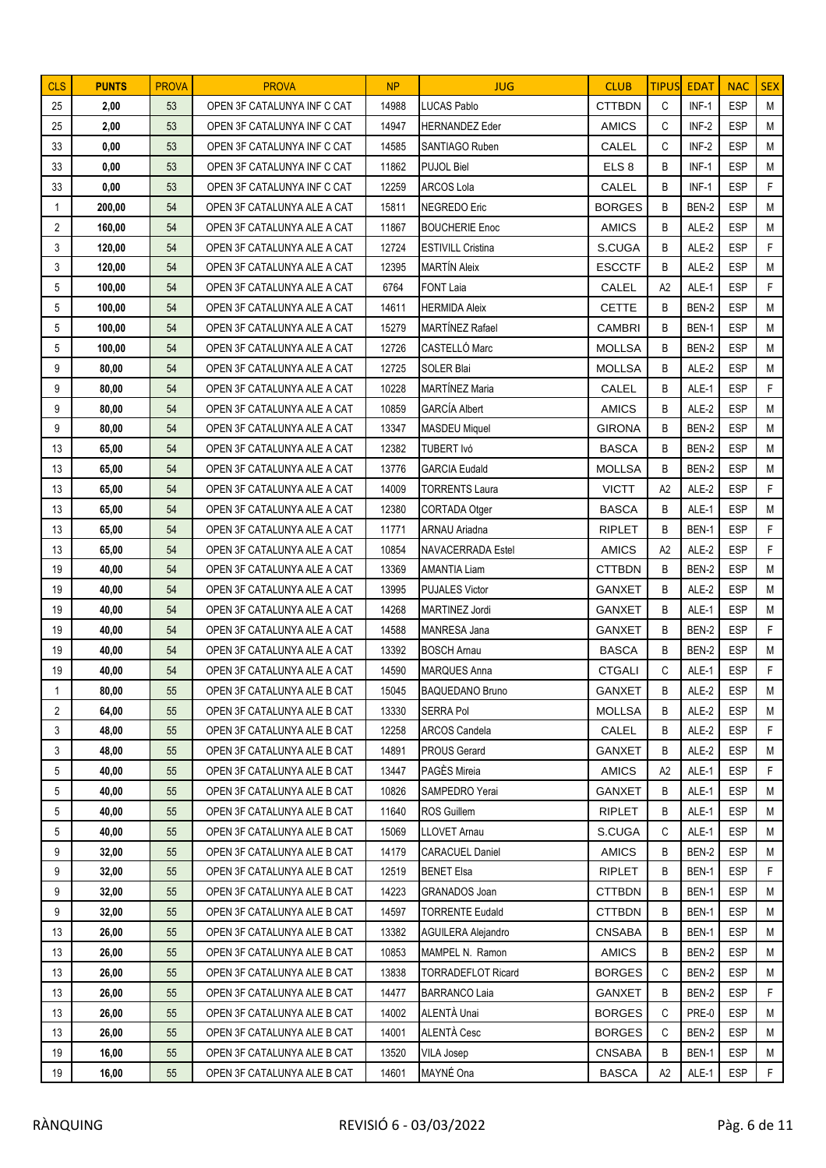| <b>CLS</b>     | <b>PUNTS</b> | <b>PROVA</b> | <b>PROVA</b>                | NP    | <b>JUG</b>                | <b>CLUB</b>      | <b>TIPUS</b>   | <b>EDAT</b> | <b>NAC</b> | <b>SEX</b>  |
|----------------|--------------|--------------|-----------------------------|-------|---------------------------|------------------|----------------|-------------|------------|-------------|
| 25             | 2,00         | 53           | OPEN 3F CATALUNYA INF C CAT | 14988 | <b>LUCAS Pablo</b>        | <b>CTTBDN</b>    | C              | $INF-1$     | <b>ESP</b> | M           |
| 25             | 2,00         | 53           | OPEN 3F CATALUNYA INF C CAT | 14947 | <b>HERNANDEZ</b> Eder     | <b>AMICS</b>     | С              | INF-2       | <b>ESP</b> | M           |
| 33             | 0,00         | 53           | OPEN 3F CATALUNYA INF C CAT | 14585 | SANTIAGO Ruben            | CALEL            | C              | INF-2       | <b>ESP</b> | M           |
| 33             | 0,00         | 53           | OPEN 3F CATALUNYA INF C CAT | 11862 | <b>PUJOL Biel</b>         | ELS <sub>8</sub> | B              | $INF-1$     | <b>ESP</b> | M           |
| 33             | 0,00         | 53           | OPEN 3F CATALUNYA INF C CAT | 12259 | <b>ARCOS Lola</b>         | CALEL            | B              | $INF-1$     | <b>ESP</b> | F           |
| 1              | 200,00       | 54           | OPEN 3F CATALUNYA ALE A CAT | 15811 | <b>NEGREDO Eric</b>       | <b>BORGES</b>    | B              | BEN-2       | <b>ESP</b> | M           |
| $\overline{2}$ | 160,00       | 54           | OPEN 3F CATALUNYA ALE A CAT | 11867 | <b>BOUCHERIE Enoc</b>     | <b>AMICS</b>     | B              | ALE-2       | <b>ESP</b> | M           |
| 3              | 120,00       | 54           | OPEN 3F CATALUNYA ALE A CAT | 12724 | <b>ESTIVILL Cristina</b>  | S.CUGA           | B              | ALE-2       | <b>ESP</b> | F           |
| 3              | 120,00       | 54           | OPEN 3F CATALUNYA ALE A CAT | 12395 | <b>MARTÍN Aleix</b>       | <b>ESCCTF</b>    | B              | ALE-2       | <b>ESP</b> | M           |
| 5              | 100,00       | 54           | OPEN 3F CATALUNYA ALE A CAT | 6764  | <b>FONT Laia</b>          | CALEL            | A2             | ALE-1       | <b>ESP</b> | F           |
| 5              | 100,00       | 54           | OPEN 3F CATALUNYA ALE A CAT | 14611 | <b>HERMIDA Aleix</b>      | <b>CETTE</b>     | B              | BEN-2       | <b>ESP</b> | M           |
| 5              | 100,00       | 54           | OPEN 3F CATALUNYA ALE A CAT | 15279 | MARTÍNEZ Rafael           | <b>CAMBRI</b>    | B              | BEN-1       | <b>ESP</b> | M           |
| 5              | 100,00       | 54           | OPEN 3F CATALUNYA ALE A CAT | 12726 | CASTELLÓ Marc             | <b>MOLLSA</b>    | B              | BEN-2       | <b>ESP</b> | M           |
| 9              | 80,00        | 54           | OPEN 3F CATALUNYA ALE A CAT | 12725 | SOLER Blai                | <b>MOLLSA</b>    | B              | ALE-2       | <b>ESP</b> | M           |
| 9              | 80,00        | 54           | OPEN 3F CATALUNYA ALE A CAT | 10228 | MARTÍNEZ Maria            | CALEL            | B              | ALE-1       | <b>ESP</b> | F           |
| 9              | 80,00        | 54           | OPEN 3F CATALUNYA ALE A CAT | 10859 | <b>GARCÍA Albert</b>      | <b>AMICS</b>     | B              | ALE-2       | <b>ESP</b> | M           |
| 9              | 80,00        | 54           | OPEN 3F CATALUNYA ALE A CAT | 13347 | <b>MASDEU Miquel</b>      | <b>GIRONA</b>    | B              | BEN-2       | <b>ESP</b> | M           |
| 13             | 65,00        | 54           | OPEN 3F CATALUNYA ALE A CAT | 12382 | TUBERT Ivó                | <b>BASCA</b>     | B              | BEN-2       | <b>ESP</b> | M           |
| 13             | 65,00        | 54           | OPEN 3F CATALUNYA ALE A CAT | 13776 | <b>GARCIA Eudald</b>      | <b>MOLLSA</b>    | B              | BEN-2       | <b>ESP</b> | M           |
| 13             | 65,00        | 54           | OPEN 3F CATALUNYA ALE A CAT | 14009 | TORRENTS Laura            | <b>VICTT</b>     | A2             | ALE-2       | <b>ESP</b> | F           |
| 13             | 65,00        | 54           | OPEN 3F CATALUNYA ALE A CAT | 12380 | CORTADA Otger             | <b>BASCA</b>     | B              | ALE-1       | <b>ESP</b> | M           |
| 13             | 65,00        | 54           | OPEN 3F CATALUNYA ALE A CAT | 11771 | <b>ARNAU Ariadna</b>      | <b>RIPLET</b>    | B              | BEN-1       | <b>ESP</b> | F           |
| 13             | 65,00        | 54           | OPEN 3F CATALUNYA ALE A CAT | 10854 | NAVACERRADA Estel         | <b>AMICS</b>     | A <sub>2</sub> | ALE-2       | <b>ESP</b> | F           |
| 19             | 40,00        | 54           | OPEN 3F CATALUNYA ALE A CAT | 13369 | <b>AMANTIA Liam</b>       | <b>CTTBDN</b>    | B              | BEN-2       | <b>ESP</b> | M           |
| 19             | 40,00        | 54           | OPEN 3F CATALUNYA ALE A CAT | 13995 | <b>PUJALES Victor</b>     | <b>GANXET</b>    | B              | ALE-2       | <b>ESP</b> | M           |
| 19             | 40,00        | 54           | OPEN 3F CATALUNYA ALE A CAT | 14268 | MARTINEZ Jordi            | <b>GANXET</b>    | B              | ALE-1       | <b>ESP</b> | M           |
| 19             | 40,00        | 54           | OPEN 3F CATALUNYA ALE A CAT | 14588 | <b>MANRESA Jana</b>       | <b>GANXET</b>    | B              | BEN-2       | <b>ESP</b> | F           |
| 19             | 40,00        | 54           | OPEN 3F CATALUNYA ALE A CAT | 13392 | <b>BOSCH Arnau</b>        | <b>BASCA</b>     | B              | BEN-2       | <b>ESP</b> | M           |
| 19             | 40,00        | 54           | OPEN 3F CATALUNYA ALE A CAT | 14590 | <b>MARQUES Anna</b>       | <b>CTGALI</b>    | C              | ALE-1       | <b>ESP</b> | F           |
| $\mathbf 1$    | 80,00        | 55           | OPEN 3F CATALUNYA ALE B CAT | 15045 | <b>BAQUEDANO Bruno</b>    | GANXET           | B              | ALE-2       | ESP        | M           |
| $\overline{2}$ | 64,00        | 55           | OPEN 3F CATALUNYA ALE B CAT | 13330 | SERRA Pol                 | <b>MOLLSA</b>    | B              | ALE-2       | <b>ESP</b> | M           |
| 3              | 48,00        | 55           | OPEN 3F CATALUNYA ALE B CAT | 12258 | ARCOS Candela             | CALEL            | B              | ALE-2       | <b>ESP</b> | F           |
| 3              | 48,00        | 55           | OPEN 3F CATALUNYA ALE B CAT | 14891 | <b>PROUS Gerard</b>       | <b>GANXET</b>    | В              | ALE-2       | <b>ESP</b> | M           |
| 5              | 40,00        | 55           | OPEN 3F CATALUNYA ALE B CAT | 13447 | PAGÈS Mireia              | <b>AMICS</b>     | A2             | ALE-1       | <b>ESP</b> | F           |
| 5              | 40,00        | 55           | OPEN 3F CATALUNYA ALE B CAT | 10826 | SAMPEDRO Yerai            | <b>GANXET</b>    | B              | ALE-1       | <b>ESP</b> | M           |
| 5              | 40,00        | 55           | OPEN 3F CATALUNYA ALE B CAT | 11640 | ROS Guillem               | <b>RIPLET</b>    | B              | ALE-1       | <b>ESP</b> | M           |
| 5              | 40,00        | 55           | OPEN 3F CATALUNYA ALE B CAT | 15069 | LLOVET Arnau              | S.CUGA           | C              | ALE-1       | <b>ESP</b> | М           |
| 9              | 32,00        | 55           | OPEN 3F CATALUNYA ALE B CAT | 14179 | <b>CARACUEL Daniel</b>    | AMICS            | B              | BEN-2       | <b>ESP</b> | M           |
| 9              | 32,00        | 55           | OPEN 3F CATALUNYA ALE B CAT | 12519 | <b>BENET Elsa</b>         | <b>RIPLET</b>    | B              | BEN-1       | <b>ESP</b> | F           |
| 9              | 32,00        | 55           | OPEN 3F CATALUNYA ALE B CAT | 14223 | GRANADOS Joan             | <b>CTTBDN</b>    | В              | BEN-1       | <b>ESP</b> | M           |
| 9              | 32,00        | 55           | OPEN 3F CATALUNYA ALE B CAT | 14597 | <b>TORRENTE Eudald</b>    | <b>CTTBDN</b>    | B              | BEN-1       | <b>ESP</b> | M           |
| 13             | 26,00        | 55           | OPEN 3F CATALUNYA ALE B CAT | 13382 | <b>AGUILERA Alejandro</b> | <b>CNSABA</b>    | В              | BEN-1       | <b>ESP</b> | М           |
| 13             | 26,00        | 55           | OPEN 3F CATALUNYA ALE B CAT | 10853 | MAMPEL N. Ramon           | <b>AMICS</b>     | B              | BEN-2       | <b>ESP</b> | M           |
| 13             | 26,00        | 55           | OPEN 3F CATALUNYA ALE B CAT | 13838 | <b>TORRADEFLOT Ricard</b> | <b>BORGES</b>    | C              | BEN-2       | <b>ESP</b> | M           |
| 13             | 26,00        | 55           | OPEN 3F CATALUNYA ALE B CAT | 14477 | <b>BARRANCO Laia</b>      | GANXET           | В              | BEN-2       | <b>ESP</b> | F           |
| 13             | 26,00        | 55           | OPEN 3F CATALUNYA ALE B CAT | 14002 | ALENTÀ Unai               | <b>BORGES</b>    | C              | PRE-0       | <b>ESP</b> | M           |
| 13             | 26,00        | 55           | OPEN 3F CATALUNYA ALE B CAT | 14001 | ALENTÀ Cesc               | <b>BORGES</b>    | C              | BEN-2       | <b>ESP</b> | M           |
| 19             | 16,00        | 55           | OPEN 3F CATALUNYA ALE B CAT | 13520 | <b>VILA Josep</b>         | <b>CNSABA</b>    | B              | BEN-1       | <b>ESP</b> | M           |
| 19             | 16,00        | 55           | OPEN 3F CATALUNYA ALE B CAT | 14601 | MAYNÉ Ona                 | <b>BASCA</b>     | A2             | ALE-1       | <b>ESP</b> | $\mathsf F$ |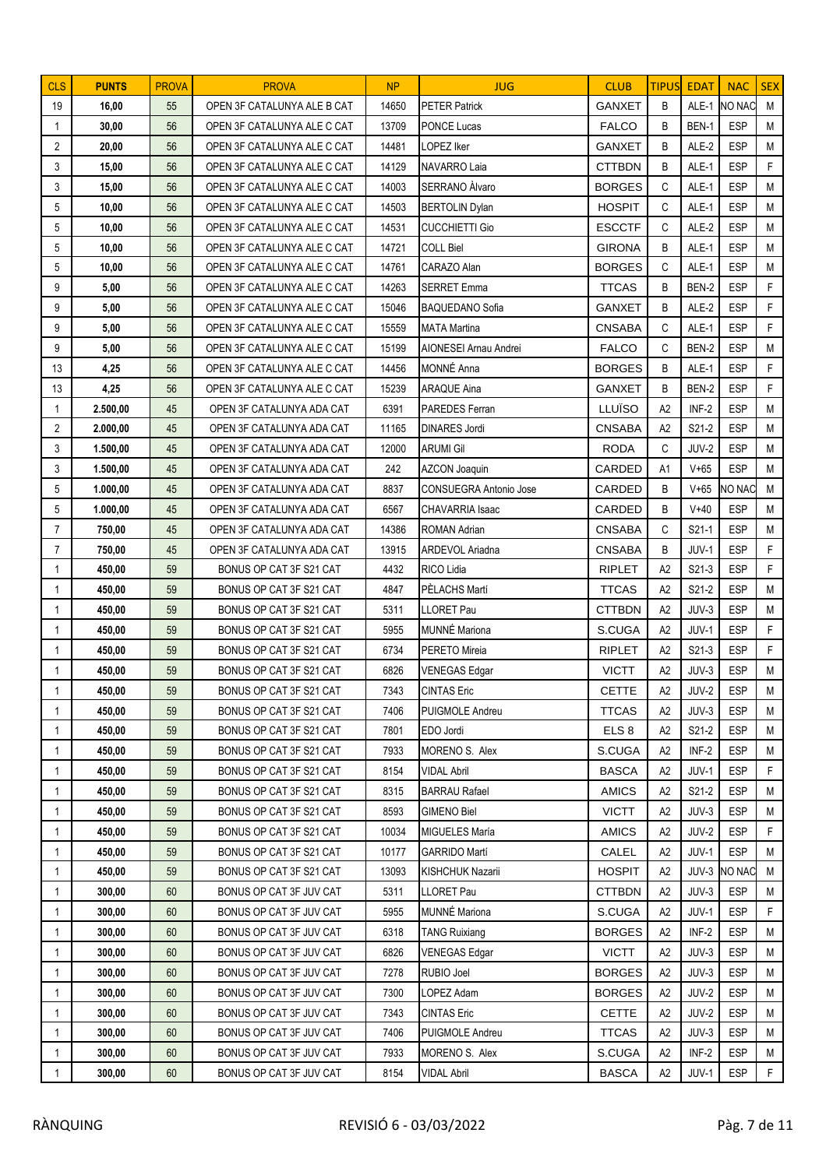| <b>CLS</b>                   | <b>PUNTS</b>     | <b>PROVA</b> | <b>PROVA</b>                                       | <b>NP</b>      | <b>JUG</b>                             | <b>CLUB</b>            | <b>TIPUS</b>   | <b>EDAT</b>    | <b>NAC</b>               | <b>SEX</b> |
|------------------------------|------------------|--------------|----------------------------------------------------|----------------|----------------------------------------|------------------------|----------------|----------------|--------------------------|------------|
| 19                           | 16,00            | 55           | OPEN 3F CATALUNYA ALE B CAT                        | 14650          | <b>PETER Patrick</b>                   | <b>GANXET</b>          | B              |                | ALE-1 NO NAC             | M          |
| -1                           | 30,00            | 56           | OPEN 3F CATALUNYA ALE C CAT                        | 13709          | PONCE Lucas                            | <b>FALCO</b>           | B              | BEN-1          | <b>ESP</b>               | M          |
| $\overline{2}$               | 20,00            | 56           | OPEN 3F CATALUNYA ALE C CAT                        | 14481          | LOPEZ Iker                             | <b>GANXET</b>          | B              | ALE-2          | <b>ESP</b>               | M          |
| 3                            | 15,00            | 56           | OPEN 3F CATALUNYA ALE C CAT                        | 14129          | NAVARRO Laia                           | <b>CTTBDN</b>          | B              | ALE-1          | <b>ESP</b>               | F          |
| 3                            | 15,00            | 56           | OPEN 3F CATALUNYA ALE C CAT                        | 14003          | <b>SERRANO Alvaro</b>                  | <b>BORGES</b>          | C              | ALE-1          | <b>ESP</b>               | M          |
| 5                            | 10,00            | 56           | OPEN 3F CATALUNYA ALE C CAT                        | 14503          | <b>BERTOLIN Dylan</b>                  | <b>HOSPIT</b>          | C              | ALE-1          | <b>ESP</b>               | M          |
| 5                            | 10,00            | 56           | OPEN 3F CATALUNYA ALE C CAT                        | 14531          | <b>CUCCHIETTI Gio</b>                  | <b>ESCCTF</b>          | C              | ALE-2          | <b>ESP</b>               | M          |
| 5                            | 10,00            | 56           | OPEN 3F CATALUNYA ALE C CAT                        | 14721          | <b>COLL Biel</b>                       | <b>GIRONA</b>          | B              | ALE-1          | <b>ESP</b>               | M          |
| 5                            | 10,00            | 56           | OPEN 3F CATALUNYA ALE C CAT                        | 14761          | CARAZO Alan                            | <b>BORGES</b>          | C              | ALE-1          | <b>ESP</b>               | M          |
| 9                            | 5,00             | 56           | OPEN 3F CATALUNYA ALE C CAT                        | 14263          | <b>SERRET Emma</b>                     | <b>TTCAS</b>           | B              | BEN-2          | <b>ESP</b>               | F          |
| 9                            | 5,00             | 56           | OPEN 3F CATALUNYA ALE C CAT                        | 15046          | <b>BAQUEDANO Sofia</b>                 | <b>GANXET</b>          | B              | ALE-2          | <b>ESP</b>               | F          |
| 9                            | 5,00             | 56           | OPEN 3F CATALUNYA ALE C CAT                        | 15559          | <b>MATA Martina</b>                    | <b>CNSABA</b>          | C              | ALE-1          | <b>ESP</b>               | F          |
| 9                            | 5,00             | 56           | OPEN 3F CATALUNYA ALE C CAT                        | 15199          | <b>AIONESEI Arnau Andrei</b>           | <b>FALCO</b>           | C              | BEN-2          | <b>ESP</b>               | M          |
| 13                           | 4,25             | 56           | OPEN 3F CATALUNYA ALE C CAT                        | 14456          | MONNÉ Anna                             | <b>BORGES</b>          | B              | ALE-1          | <b>ESP</b>               | F          |
| 13                           | 4,25             | 56           | OPEN 3F CATALUNYA ALE C CAT                        | 15239          | <b>ARAQUE Aina</b>                     | <b>GANXET</b>          | B              | BEN-2          | <b>ESP</b>               | F          |
| 1                            | 2.500,00         | 45           | OPEN 3F CATALUNYA ADA CAT                          | 6391           | PAREDES Ferran                         | LLUÏSO                 | A2             | INF-2          | <b>ESP</b>               | M          |
| $\overline{2}$               | 2.000,00         | 45           | OPEN 3F CATALUNYA ADA CAT                          | 11165          | <b>DINARES Jordi</b>                   | <b>CNSABA</b>          | A2             | S21-2          | <b>ESP</b>               | M          |
| 3                            | 1.500,00         | 45           | OPEN 3F CATALUNYA ADA CAT                          | 12000          | <b>ARUMI Gil</b>                       | <b>RODA</b>            | C              | JUV-2          | <b>ESP</b>               | M          |
| 3                            | 1.500,00         | 45           | OPEN 3F CATALUNYA ADA CAT                          | 242            | <b>AZCON Joaquin</b>                   | CARDED                 | A1             | $V+65$         | <b>ESP</b>               | M          |
| 5                            | 1.000,00         | 45           | OPEN 3F CATALUNYA ADA CAT                          | 8837           | <b>CONSUEGRA Antonio Jose</b>          | CARDED                 | B              | $V+65$         | NO NAC                   | M          |
| 5                            | 1.000,00         | 45           | OPEN 3F CATALUNYA ADA CAT                          | 6567           | CHAVARRIA Isaac                        | CARDED                 | B              | $V + 40$       | <b>ESP</b>               | M          |
| 7                            | 750,00           | 45           | OPEN 3F CATALUNYA ADA CAT                          | 14386          | <b>ROMAN Adrian</b>                    | <b>CNSABA</b>          | C              | S21-1          | <b>ESP</b>               | M          |
| $\overline{7}$               | 750,00           | 45           | OPEN 3F CATALUNYA ADA CAT                          | 13915          | ARDEVOL Ariadna                        | <b>CNSABA</b>          | B              | JUV-1          | <b>ESP</b>               | F          |
| 1                            | 450,00           | 59           | BONUS OP CAT 3F S21 CAT                            | 4432           | RICO Lidia                             | <b>RIPLET</b>          | A2             | S21-3          | <b>ESP</b>               | F          |
| $\mathbf{1}$                 | 450,00           | 59           | BONUS OP CAT 3F S21 CAT                            | 4847           | PÈLACHS Martí                          | <b>TTCAS</b>           | A2             | S21-2          | <b>ESP</b>               | M          |
| 1                            | 450,00           | 59           | BONUS OP CAT 3F S21 CAT                            | 5311           | <b>LLORET Pau</b>                      | <b>CTTBDN</b>          | A2             | JUV-3          | <b>ESP</b>               | M          |
| 1                            | 450,00           | 59           | BONUS OP CAT 3F S21 CAT                            | 5955           | <b>MUNNÉ Mariona</b>                   | S.CUGA                 | A2             | JUV-1          | <b>ESP</b>               | F          |
| 1                            | 450,00           | 59           | BONUS OP CAT 3F S21 CAT                            | 6734           | PERETO Mireia                          | <b>RIPLET</b>          | A2             | S21-3          | <b>ESP</b>               | F.         |
| 1                            | 450,00           | 59           | BONUS OP CAT 3F S21 CAT                            | 6826           | <b>VENEGAS Edgar</b>                   | <b>VICTT</b>           | A2             | JUV-3          | <b>ESP</b>               | M          |
| $\mathbf 1$                  | 450,00           | 59           | BONUS OP CAT 3F S21 CAT                            | 7343           | <b>CINTAS Eric</b>                     | <b>CETTE</b>           | A2             | JUV-2          | ESP                      | M          |
| $\mathbf{1}$                 | 450,00           | 59           | BONUS OP CAT 3F S21 CAT                            | 7406           | PUIGMOLE Andreu                        | <b>TTCAS</b>           | A2             | JUV-3          | <b>ESP</b>               | M          |
| 1                            | 450,00           | 59           | BONUS OP CAT 3F S21 CAT                            | 7801           | EDO Jordi                              | ELS <sub>8</sub>       | A2             | S21-2          | <b>ESP</b>               | M          |
| $\mathbf{1}$                 | 450,00           | 59           | BONUS OP CAT 3F S21 CAT                            | 7933           | MORENO S. Alex                         | S.CUGA                 | A2             | INF-2          | ESP                      | M          |
| 1                            | 450,00           | 59           | BONUS OP CAT 3F S21 CAT                            | 8154           | <b>VIDAL Abril</b>                     | <b>BASCA</b>           | A2             | JUV-1          | <b>ESP</b>               | F          |
| 1                            | 450,00           | 59           | BONUS OP CAT 3F S21 CAT                            | 8315           | <b>BARRAU Rafael</b>                   | <b>AMICS</b>           | A2             | S21-2          | <b>ESP</b>               | M          |
| 1                            | 450,00           | 59           | BONUS OP CAT 3F S21 CAT<br>BONUS OP CAT 3F S21 CAT | 8593           | <b>GIMENO Biel</b>                     | <b>VICTT</b>           | A2             | JUV-3          | <b>ESP</b>               | M          |
| 1                            | 450,00           | 59<br>59     | BONUS OP CAT 3F S21 CAT                            | 10034<br>10177 | MIGUELES María<br><b>GARRIDO Martí</b> | <b>AMICS</b>           | A2             | JUV-2<br>JUV-1 | <b>ESP</b><br><b>ESP</b> | F<br>M     |
| $\mathbf{1}$<br>$\mathbf{1}$ | 450,00<br>450,00 | 59           | BONUS OP CAT 3F S21 CAT                            | 13093          | KISHCHUK Nazarii                       | CALEL<br><b>HOSPIT</b> | A2<br>A2       |                | JUV-3 NO NAC             | M          |
|                              | 300,00           | 60           | BONUS OP CAT 3F JUV CAT                            | 5311           | LLORET Pau                             | <b>CTTBDN</b>          | A2             | JUV-3          | <b>ESP</b>               | M          |
| 1<br>1                       | 300,00           | 60           | BONUS OP CAT 3F JUV CAT                            | 5955           | <b>MUNNÉ Mariona</b>                   | S.CUGA                 | A <sub>2</sub> | JUV-1          | <b>ESP</b>               | F          |
|                              | 300,00           | 60           | BONUS OP CAT 3F JUV CAT                            | 6318           | <b>TANG Ruixiang</b>                   | <b>BORGES</b>          | A2             | INF-2          | <b>ESP</b>               | М          |
| 1<br>1                       | 300,00           | 60           | BONUS OP CAT 3F JUV CAT                            | 6826           | <b>VENEGAS Edgar</b>                   | <b>VICTT</b>           | A2             | JUV-3          | <b>ESP</b>               | M          |
| $\mathbf{1}$                 | 300,00           | 60           | BONUS OP CAT 3F JUV CAT                            | 7278           | RUBIO Joel                             | <b>BORGES</b>          | A2             | JUV-3          | <b>ESP</b>               | M          |
| 1                            | 300,00           | 60           | BONUS OP CAT 3F JUV CAT                            | 7300           | LOPEZ Adam                             | <b>BORGES</b>          | A2             | JUV-2          | <b>ESP</b>               | M          |
| -1                           | 300,00           | 60           | BONUS OP CAT 3F JUV CAT                            | 7343           | <b>CINTAS Eric</b>                     | <b>CETTE</b>           | A2             | JUV-2          | <b>ESP</b>               | M          |
| 1                            | 300,00           | 60           | BONUS OP CAT 3F JUV CAT                            | 7406           | PUIGMOLE Andreu                        | <b>TTCAS</b>           | A2             | JUV-3          | <b>ESP</b>               | M          |
| 1                            | 300,00           | 60           | BONUS OP CAT 3F JUV CAT                            | 7933           | MORENO S. Alex                         | S.CUGA                 | A2             | INF-2          | <b>ESP</b>               | M          |
| 1                            | 300,00           | 60           | BONUS OP CAT 3F JUV CAT                            | 8154           | <b>VIDAL Abril</b>                     | <b>BASCA</b>           | A2             | JUV-1          | <b>ESP</b>               | F          |
|                              |                  |              |                                                    |                |                                        |                        |                |                |                          |            |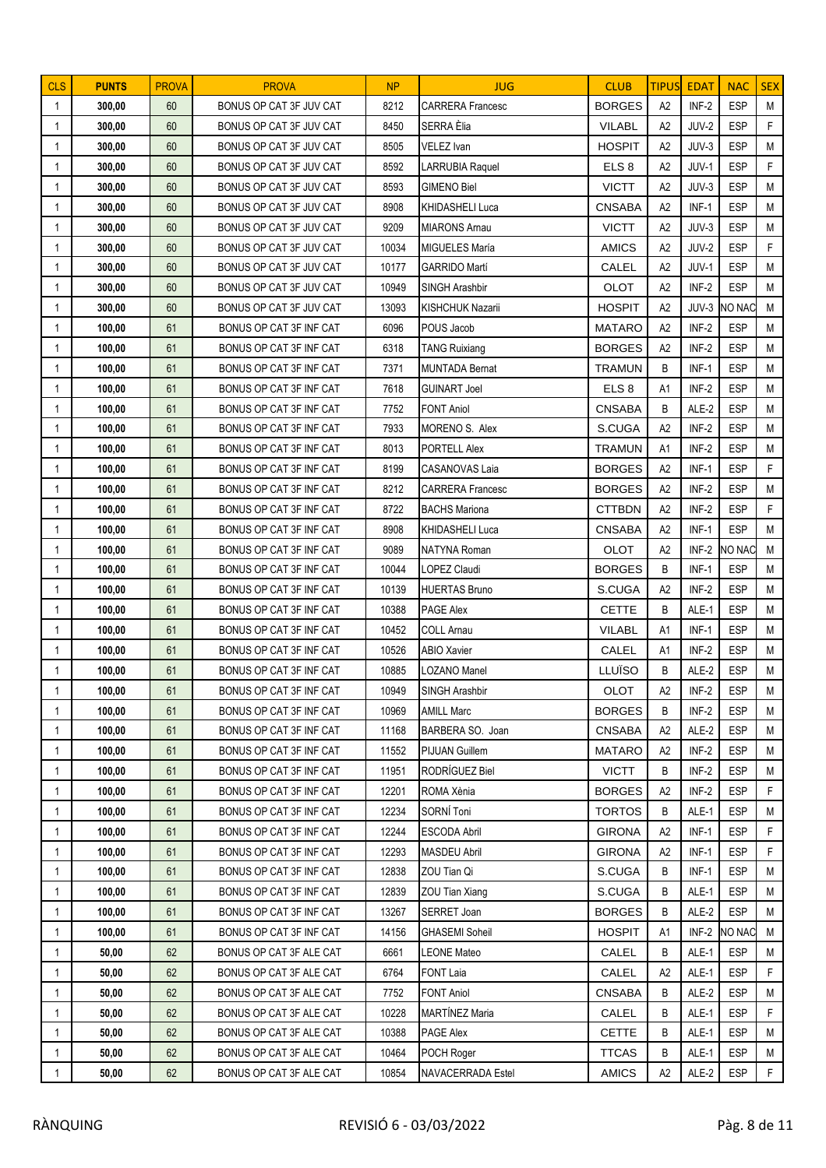| <b>CLS</b>     | <b>PUNTS</b>   | <b>PROVA</b> | <b>PROVA</b>                                       | NP            | <b>JUG</b>                                 | <b>CLUB</b>           | <b>TIPUS</b>   | <b>EDAT</b>    | <b>NAC</b>           | <b>SEX</b>   |
|----------------|----------------|--------------|----------------------------------------------------|---------------|--------------------------------------------|-----------------------|----------------|----------------|----------------------|--------------|
| $\mathbf{1}$   | 300,00         | 60           | BONUS OP CAT 3F JUV CAT                            | 8212          | <b>CARRERA</b> Francesc                    | <b>BORGES</b>         | A2             | INF-2          | <b>ESP</b>           | M            |
| $\mathbf{1}$   | 300,00         | 60           | BONUS OP CAT 3F JUV CAT                            | 8450          | SERRA Èlia                                 | <b>VILABL</b>         | A2             | JUV-2          | <b>ESP</b>           | F            |
| 1              | 300,00         | 60           | BONUS OP CAT 3F JUV CAT                            | 8505          | <b>VELEZ Ivan</b>                          | <b>HOSPIT</b>         | A2             | JUV-3          | <b>ESP</b>           | M            |
| $\mathbf 1$    | 300,00         | 60           | BONUS OP CAT 3F JUV CAT                            | 8592          | LARRUBIA Raquel                            | ELS <sub>8</sub>      | A2             | JUV-1          | <b>ESP</b>           | F            |
| 1              | 300,00         | 60           | BONUS OP CAT 3F JUV CAT                            | 8593          | <b>GIMENO Biel</b>                         | <b>VICTT</b>          | A2             | JUV-3          | <b>ESP</b>           | M            |
| 1              | 300,00         | 60           | BONUS OP CAT 3F JUV CAT                            | 8908          | KHIDASHELI Luca                            | <b>CNSABA</b>         | A2             | $INF-1$        | <b>ESP</b>           | М            |
| 1              | 300,00         | 60           | BONUS OP CAT 3F JUV CAT                            | 9209          | <b>MIARONS Amau</b>                        | <b>VICTT</b>          | A2             | JUV-3          | <b>ESP</b>           | M            |
| 1              | 300,00         | 60           | BONUS OP CAT 3F JUV CAT                            | 10034         | MIGUELES María                             | <b>AMICS</b>          | A2             | JUV-2          | <b>ESP</b>           | F            |
| -1             | 300,00         | 60           | BONUS OP CAT 3F JUV CAT                            | 10177         | <b>GARRIDO Martí</b>                       | CALEL                 | A2             | JUV-1          | <b>ESP</b>           | M            |
| 1              | 300,00         | 60           | BONUS OP CAT 3F JUV CAT                            | 10949         | SINGH Arashbir                             | OLOT                  | A2             | INF-2          | <b>ESP</b>           | M            |
| 1              | 300,00         | 60           | BONUS OP CAT 3F JUV CAT                            | 13093         | KISHCHUK Nazarii                           | <b>HOSPIT</b>         | A2             | JUV-3          | NO NAC               | M            |
| 1              | 100,00         | 61           | BONUS OP CAT 3F INF CAT                            | 6096          | POUS Jacob                                 | <b>MATARO</b>         | A2             | INF-2          | <b>ESP</b>           | M            |
| 1              | 100,00         | 61           | BONUS OP CAT 3F INF CAT                            | 6318          | <b>TANG Ruixiang</b>                       | <b>BORGES</b>         | A2             | INF-2          | <b>ESP</b>           | M            |
| 1              | 100,00         | 61           | BONUS OP CAT 3F INF CAT                            | 7371          | <b>MUNTADA Bernat</b>                      | <b>TRAMUN</b>         | B              | $INF-1$        | <b>ESP</b>           | M            |
| $\overline{1}$ | 100,00         | 61           | BONUS OP CAT 3F INF CAT                            | 7618          | <b>GUINART Joel</b>                        | ELS <sub>8</sub>      | A1             | INF-2          | <b>ESP</b>           | M            |
| $\mathbf 1$    | 100,00         | 61           | BONUS OP CAT 3F INF CAT                            | 7752          | <b>FONT Aniol</b>                          | <b>CNSABA</b>         | B              | ALE-2          | <b>ESP</b>           | M            |
| $\mathbf{1}$   | 100,00         | 61           | BONUS OP CAT 3F INF CAT                            | 7933          | MORENO S. Alex                             | S.CUGA                | A2             | INF-2          | <b>ESP</b>           | M            |
| 1              | 100,00         | 61           | BONUS OP CAT 3F INF CAT                            | 8013          | PORTELL Alex                               | <b>TRAMUN</b>         | A1             | INF-2          | <b>ESP</b>           | M            |
| 1              | 100,00         | 61           | BONUS OP CAT 3F INF CAT                            | 8199          | <b>CASANOVAS Laia</b>                      | <b>BORGES</b>         | A2             | $INF-1$        | <b>ESP</b>           | F            |
| $\mathbf{1}$   | 100,00         | 61           | BONUS OP CAT 3F INF CAT                            | 8212          | <b>CARRERA Francesc</b>                    | <b>BORGES</b>         | A2             | INF-2          | <b>ESP</b>           | M            |
| $\mathbf{1}$   | 100,00         | 61           | BONUS OP CAT 3F INF CAT                            | 8722          | <b>BACHS Mariona</b>                       | <b>CTTBDN</b>         | A2             | INF-2          | <b>ESP</b>           | F.           |
| $\mathbf 1$    | 100,00         | 61           | BONUS OP CAT 3F INF CAT                            | 8908          | KHIDASHELI Luca                            | <b>CNSABA</b>         | A2             | $INF-1$        | <b>ESP</b>           | M            |
| 1              | 100,00         | 61           | BONUS OP CAT 3F INF CAT                            | 9089          | <b>NATYNA Roman</b>                        | <b>OLOT</b>           | A2             | INF-2          | NO NAC               | M            |
| 1              | 100,00         | 61           | BONUS OP CAT 3F INF CAT                            | 10044         | LOPEZ Claudi                               | <b>BORGES</b>         | B              | $INF-1$        | <b>ESP</b>           | M            |
| $\mathbf{1}$   | 100,00         | 61           | BONUS OP CAT 3F INF CAT                            | 10139         | HUERTAS Bruno                              | S.CUGA                | A2             | INF-2          | <b>ESP</b>           | M            |
| 1              | 100,00         | 61           | BONUS OP CAT 3F INF CAT                            | 10388         | PAGE Alex                                  | <b>CETTE</b>          | B              | ALE-1          | <b>ESP</b>           | M            |
| $\mathbf{1}$   | 100,00         | 61           | BONUS OP CAT 3F INF CAT                            | 10452         | <b>COLL Arnau</b>                          | <b>VILABL</b>         | A1             | $INF-1$        | <b>ESP</b>           | M            |
| 1              | 100,00         | 61           | BONUS OP CAT 3F INF CAT                            | 10526         | <b>ABIO Xavier</b>                         | CALEL                 | A1             | INF-2          | <b>ESP</b>           | M            |
| 1              | 100,00         | 61           | BONUS OP CAT 3F INF CAT                            | 10885         | <b>LOZANO Manel</b>                        | LLUÏSO                | B              | ALE-2          | <b>ESP</b>           | $\mathsf{M}$ |
| $\mathbf 1$    | 100,00         | 61           | BONUS OP CAT 3F INF CAT                            | 10949         | SINGH Arashbir                             | OLOT                  | A <sub>2</sub> | $INF-2$        | ESP                  | ${\sf M}$    |
| $\mathbf{1}$   | 100,00         | 61           | BONUS OP CAT 3F INF CAT                            | 10969         | <b>AMILL Marc</b>                          | <b>BORGES</b>         | B              | INF-2          | <b>ESP</b>           | M            |
| $\mathbf{1}$   | 100,00         | 61           | BONUS OP CAT 3F INF CAT                            | 11168         | BARBERA SO. Joan                           | <b>CNSABA</b>         | A2             | ALE-2          | <b>ESP</b>           | M            |
| $\mathbf{1}$   | 100,00         | 61           | BONUS OP CAT 3F INF CAT                            | 11552         | <b>PIJUAN Guillem</b>                      | <b>MATARO</b>         | A2             | INF-2          | <b>ESP</b>           | M            |
| $\mathbf{1}$   | 100,00         | 61           | BONUS OP CAT 3F INF CAT                            | 11951         | RODRÍGUEZ Biel                             | <b>VICTT</b>          | B              | INF-2          | <b>ESP</b>           | M            |
| 1              | 100,00         | 61           | BONUS OP CAT 3F INF CAT                            | 12201         | ROMA Xènia                                 | <b>BORGES</b>         | A2             | INF-2          | <b>ESP</b>           | F            |
| 1              | 100,00         | 61           | BONUS OP CAT 3F INF CAT                            | 12234         | SORNÍ Toni                                 | <b>TORTOS</b>         | B              | ALE-1          | <b>ESP</b>           | M            |
| 1              | 100,00         | 61           | BONUS OP CAT 3F INF CAT                            | 12244         | ESCODA Abril                               | <b>GIRONA</b>         | A2             | INF-1          | <b>ESP</b>           | F            |
| $\mathbf{1}$   | 100,00         | 61           | BONUS OP CAT 3F INF CAT                            | 12293         | <b>MASDEU Abril</b>                        | <b>GIRONA</b>         | A2             | $INF-1$        | <b>ESP</b>           | F            |
| $\mathbf{1}$   | 100,00         | 61           | BONUS OP CAT 3F INF CAT                            | 12838         | ZOU Tian Qi                                | S.CUGA                | В              | $INF-1$        | <b>ESP</b>           | M            |
| 1              | 100,00         | 61           | BONUS OP CAT 3F INF CAT                            | 12839         | ZOU Tian Xiang                             | S.CUGA                | В              | ALE-1          | <b>ESP</b>           | М            |
| 1              | 100,00         | 61           | BONUS OP CAT 3F INF CAT                            | 13267         | SERRET Joan                                | <b>BORGES</b>         | B              | ALE-2          | <b>ESP</b>           | M            |
| 1              | 100,00         | 61           | BONUS OP CAT 3F INF CAT                            | 14156         | <b>GHASEMI Soheil</b>                      | <b>HOSPIT</b>         | A1<br>B        | INF-2<br>ALE-1 | NO NAC<br><b>ESP</b> | M<br>M       |
| 1              | 50,00          | 62           | BONUS OP CAT 3F ALE CAT                            | 6661          | LEONE Mateo                                | CALEL                 |                |                | ESP                  | F            |
| 1              | 50,00          | 62<br>62     | BONUS OP CAT 3F ALE CAT                            | 6764          | FONT Laia                                  | CALEL                 | A2<br>B        | ALE-1          | <b>ESP</b>           | M            |
| 1              | 50,00          | 62           | BONUS OP CAT 3F ALE CAT                            | 7752<br>10228 | <b>FONT Aniol</b><br><b>MARTÍNEZ Maria</b> | <b>CNSABA</b>         |                | ALE-2<br>ALE-1 | <b>ESP</b>           | F            |
| $\mathbf{1}$   | 50,00<br>50,00 | 62           | BONUS OP CAT 3F ALE CAT<br>BONUS OP CAT 3F ALE CAT | 10388         | PAGE Alex                                  | CALEL<br><b>CETTE</b> | B<br>В         | ALE-1          | <b>ESP</b>           | M            |
| 1              | 50,00          | 62           | BONUS OP CAT 3F ALE CAT                            | 10464         | POCH Roger                                 | <b>TTCAS</b>          | B              | ALE-1          | <b>ESP</b>           | M            |
| 1              |                |              |                                                    | 10854         |                                            |                       |                |                |                      | $\mathsf F$  |
| 1              | 50,00          | 62           | BONUS OP CAT 3F ALE CAT                            |               | NAVACERRADA Estel                          | <b>AMICS</b>          | A <sub>2</sub> | ALE-2          | <b>ESP</b>           |              |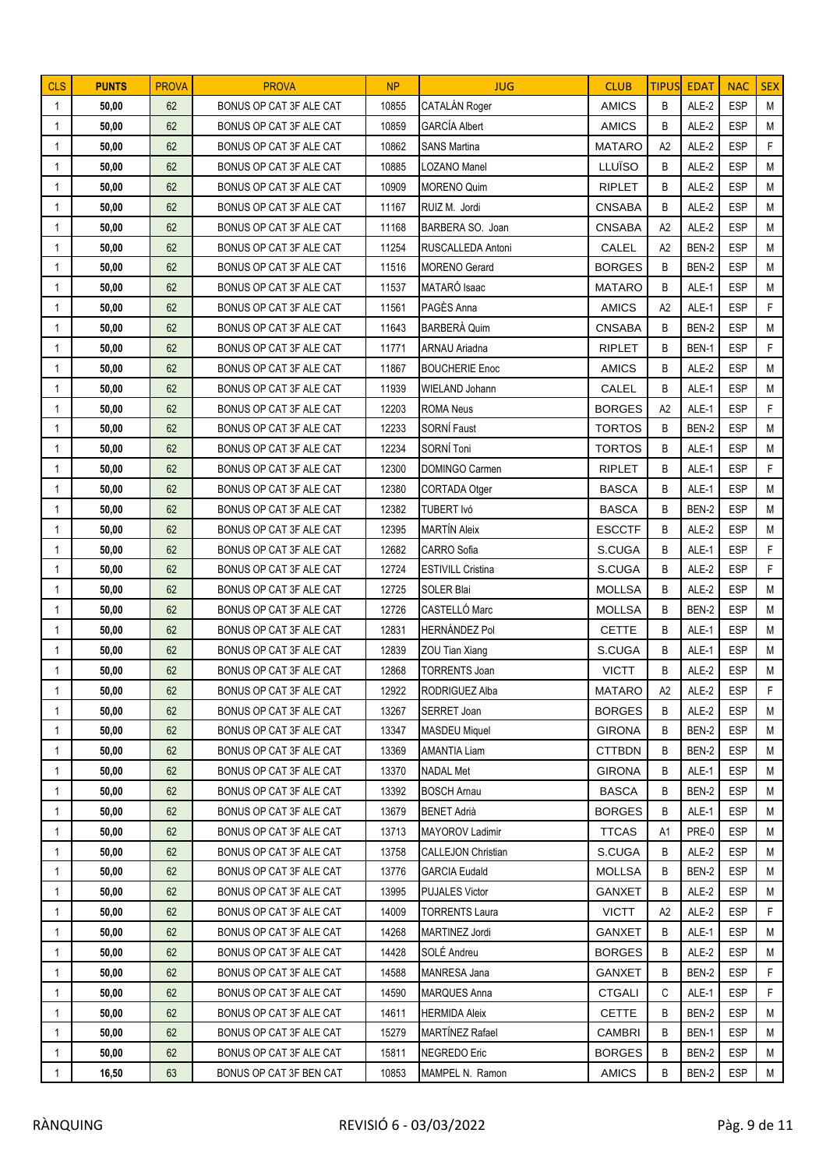| <b>CLS</b>                   | <b>PUNTS</b>   | <b>PROVA</b> | <b>PROVA</b>                                       | NP             | <b>JUG</b>                                 | <b>CLUB</b>                    | <b>TIPUS</b>   | <b>EDAT</b>    | <b>NAC</b>               | <b>SEX</b>   |
|------------------------------|----------------|--------------|----------------------------------------------------|----------------|--------------------------------------------|--------------------------------|----------------|----------------|--------------------------|--------------|
| $\mathbf{1}$                 | 50,00          | 62           | BONUS OP CAT 3F ALE CAT                            | 10855          | CATALÁN Roger                              | <b>AMICS</b>                   | B              | ALE-2          | <b>ESP</b>               | M            |
| $\mathbf{1}$                 | 50,00          | 62           | BONUS OP CAT 3F ALE CAT                            | 10859          | <b>GARCÍA Albert</b>                       | <b>AMICS</b>                   | B              | ALE-2          | <b>ESP</b>               | M            |
| $\mathbf{1}$                 | 50,00          | 62           | BONUS OP CAT 3F ALE CAT                            | 10862          | <b>SANS Martina</b>                        | <b>MATARO</b>                  | A2             | ALE-2          | <b>ESP</b>               | F            |
| $\mathbf 1$                  | 50,00          | 62           | BONUS OP CAT 3F ALE CAT                            | 10885          | <b>LOZANO Manel</b>                        | LLUÏSO                         | B              | ALE-2          | <b>ESP</b>               | M            |
| 1                            | 50,00          | 62           | BONUS OP CAT 3F ALE CAT                            | 10909          | <b>MORENO Quim</b>                         | <b>RIPLET</b>                  | B              | ALE-2          | <b>ESP</b>               | M            |
| 1                            | 50,00          | 62           | BONUS OP CAT 3F ALE CAT                            | 11167          | RUIZ M. Jordi                              | <b>CNSABA</b>                  | B              | ALE-2          | <b>ESP</b>               | М            |
| 1                            | 50,00          | 62           | BONUS OP CAT 3F ALE CAT                            | 11168          | BARBERA SO. Joan                           | <b>CNSABA</b>                  | A2             | ALE-2          | <b>ESP</b>               | M            |
| 1                            | 50,00          | 62           | BONUS OP CAT 3F ALE CAT                            | 11254          | RUSCALLEDA Antoni                          | CALEL                          | A2             | BEN-2          | <b>ESP</b>               | M            |
| -1                           | 50,00          | 62           | BONUS OP CAT 3F ALE CAT                            | 11516          | <b>MORENO</b> Gerard                       | <b>BORGES</b>                  | B              | BEN-2          | <b>ESP</b>               | M            |
| 1                            | 50,00          | 62           | BONUS OP CAT 3F ALE CAT                            | 11537          | MATARÓ Isaac                               | <b>MATARO</b>                  | B              | ALE-1          | <b>ESP</b>               | M            |
| 1                            | 50,00          | 62           | BONUS OP CAT 3F ALE CAT                            | 11561          | PAGÈS Anna                                 | <b>AMICS</b>                   | A2             | ALE-1          | <b>ESP</b>               | F            |
| 1                            | 50,00          | 62           | BONUS OP CAT 3F ALE CAT                            | 11643          | <b>BARBERÀ Quim</b>                        | <b>CNSABA</b>                  | B              | BEN-2          | <b>ESP</b>               | M            |
| $\mathbf{1}$                 | 50,00          | 62           | BONUS OP CAT 3F ALE CAT                            | 11771          | <b>ARNAU Ariadna</b>                       | <b>RIPLET</b>                  | B              | BEN-1          | <b>ESP</b>               | F            |
| 1                            | 50,00          | 62           | BONUS OP CAT 3F ALE CAT                            | 11867          | <b>BOUCHERIE Enoc</b>                      | <b>AMICS</b>                   | B              | ALE-2          | <b>ESP</b>               | M            |
| $\overline{1}$               | 50,00          | 62           | BONUS OP CAT 3F ALE CAT                            | 11939          | WIELAND Johann                             | CALEL                          | B              | ALE-1          | <b>ESP</b>               | M            |
| $\mathbf 1$                  | 50,00          | 62           | BONUS OP CAT 3F ALE CAT                            | 12203          | <b>ROMA Neus</b>                           | <b>BORGES</b>                  | A2             | ALE-1          | <b>ESP</b>               | F            |
| $\mathbf{1}$                 | 50,00          | 62           | BONUS OP CAT 3F ALE CAT                            | 12233          | SORNÍ Faust                                | <b>TORTOS</b>                  | B              | BEN-2          | <b>ESP</b>               | M            |
| 1                            | 50,00          | 62           | BONUS OP CAT 3F ALE CAT                            | 12234          | SORNÍ Toni                                 | <b>TORTOS</b>                  | B              | ALE-1          | <b>ESP</b>               | M            |
| 1                            | 50,00          | 62           | BONUS OP CAT 3F ALE CAT                            | 12300          | DOMINGO Carmen                             | <b>RIPLET</b>                  | B              | ALE-1          | <b>ESP</b>               | F            |
| 1                            | 50,00          | 62           | BONUS OP CAT 3F ALE CAT                            | 12380          | CORTADA Otger                              | <b>BASCA</b>                   | B              | ALE-1          | <b>ESP</b>               | M            |
| $\mathbf{1}$                 | 50,00          | 62           | BONUS OP CAT 3F ALE CAT                            | 12382          | TUBERT Ivó                                 | <b>BASCA</b>                   | B              | BEN-2          | <b>ESP</b>               | M            |
| $\mathbf 1$                  | 50,00          | 62           | BONUS OP CAT 3F ALE CAT                            | 12395          | <b>MARTÍN Aleix</b>                        | <b>ESCCTF</b>                  | B              | ALE-2          | <b>ESP</b>               | M            |
| 1                            | 50,00          | 62           | BONUS OP CAT 3F ALE CAT                            | 12682          | CARRO Sofia                                | S.CUGA                         | B              | ALE-1          | <b>ESP</b>               | F            |
| 1                            | 50,00          | 62           | BONUS OP CAT 3F ALE CAT                            | 12724          | <b>ESTIVILL Cristina</b>                   | S.CUGA                         | B              | ALE-2          | <b>ESP</b>               | F            |
| 1                            | 50,00          | 62           | BONUS OP CAT 3F ALE CAT                            | 12725          | SOLER Blai                                 | <b>MOLLSA</b>                  | B              | ALE-2          | <b>ESP</b>               | M            |
| 1                            | 50,00          | 62           | BONUS OP CAT 3F ALE CAT                            | 12726          | CASTELLÓ Marc                              | <b>MOLLSA</b>                  | B              | BEN-2          | <b>ESP</b>               | M            |
| $\mathbf{1}$                 | 50,00          | 62           | BONUS OP CAT 3F ALE CAT                            | 12831          | <b>HERNÁNDEZ Pol</b>                       | <b>CETTE</b>                   | B              | ALE-1          | <b>ESP</b>               | M            |
| 1                            | 50,00          | 62           | BONUS OP CAT 3F ALE CAT                            | 12839          | ZOU Tian Xiang                             | S.CUGA                         | B              | ALE-1          | <b>ESP</b>               | M            |
| 1                            | 50,00          | 62           | BONUS OP CAT 3F ALE CAT                            | 12868          | <b>TORRENTS Joan</b>                       | <b>VICTT</b>                   | B              | ALE-2          | <b>ESP</b>               | $\mathsf{M}$ |
| $\mathbf 1$                  | 50,00          | 62           | BONUS OP CAT 3F ALE CAT                            | 12922          | RODRIGUEZ Alba                             | MATARO                         | A <sub>2</sub> | ALE-2          | ESP                      | F            |
| 1                            | 50,00          | 62           | BONUS OP CAT 3F ALE CAT                            | 13267          | <b>SERRET Joan</b><br><b>MASDEU Miquel</b> | <b>BORGES</b>                  | B<br>B         | ALE-2          | <b>ESP</b><br><b>ESP</b> | М<br>M       |
| $\mathbf{1}$<br>$\mathbf{1}$ | 50,00<br>50,00 | 62<br>62     | BONUS OP CAT 3F ALE CAT<br>BONUS OP CAT 3F ALE CAT | 13347<br>13369 | <b>AMANTIA Liam</b>                        | <b>GIRONA</b><br><b>CTTBDN</b> | B              | BEN-2<br>BEN-2 | <b>ESP</b>               | M            |
| 1                            | 50,00          | 62           | BONUS OP CAT 3F ALE CAT                            | 13370          | <b>NADAL Met</b>                           | <b>GIRONA</b>                  | B              | ALE-1          | <b>ESP</b>               | M            |
| 1                            | 50,00          | 62           | BONUS OP CAT 3F ALE CAT                            | 13392          | <b>BOSCH Arnau</b>                         | <b>BASCA</b>                   | B              | BEN-2          | <b>ESP</b>               | M            |
| 1                            | 50,00          | 62           | BONUS OP CAT 3F ALE CAT                            | 13679          | <b>BENET Adrià</b>                         | <b>BORGES</b>                  | B              | ALE-1          | <b>ESP</b>               | M            |
| 1                            | 50,00          | 62           | BONUS OP CAT 3F ALE CAT                            | 13713          | MAYOROV Ladimir                            | <b>TTCAS</b>                   | A1             | PRE-0          | <b>ESP</b>               | М            |
| 1                            | 50,00          | 62           | BONUS OP CAT 3F ALE CAT                            | 13758          | <b>CALLEJON Christian</b>                  | S.CUGA                         | B              | ALE-2          | <b>ESP</b>               | M            |
| 1                            | 50,00          | 62           | BONUS OP CAT 3F ALE CAT                            | 13776          | <b>GARCIA Eudald</b>                       | <b>MOLLSA</b>                  | B              | BEN-2          | <b>ESP</b>               | M            |
| 1                            | 50,00          | 62           | BONUS OP CAT 3F ALE CAT                            | 13995          | <b>PUJALES Victor</b>                      | <b>GANXET</b>                  | В              | ALE-2          | <b>ESP</b>               | М            |
| $\mathbf{1}$                 | 50,00          | 62           | BONUS OP CAT 3F ALE CAT                            | 14009          | <b>TORRENTS Laura</b>                      | <b>VICTT</b>                   | A2             | ALE-2          | <b>ESP</b>               | F            |
| 1                            | 50,00          | 62           | BONUS OP CAT 3F ALE CAT                            | 14268          | MARTINEZ Jordi                             | <b>GANXET</b>                  | B              | ALE-1          | <b>ESP</b>               | M            |
| 1                            | 50,00          | 62           | BONUS OP CAT 3F ALE CAT                            | 14428          | SOLÉ Andreu                                | <b>BORGES</b>                  | B              | ALE-2          | <b>ESP</b>               | M            |
| 1                            | 50,00          | 62           | BONUS OP CAT 3F ALE CAT                            | 14588          | MANRESA Jana                               | <b>GANXET</b>                  | В              | BEN-2          | <b>ESP</b>               | F            |
| 1                            | 50,00          | 62           | BONUS OP CAT 3F ALE CAT                            | 14590          | <b>MARQUES Anna</b>                        | <b>CTGALI</b>                  | C              | ALE-1          | <b>ESP</b>               | F.           |
| $\mathbf{1}$                 | 50,00          | 62           | BONUS OP CAT 3F ALE CAT                            | 14611          | <b>HERMIDA Aleix</b>                       | <b>CETTE</b>                   | B              | BEN-2          | <b>ESP</b>               | M            |
| 1                            | 50,00          | 62           | BONUS OP CAT 3F ALE CAT                            | 15279          | MARTÍNEZ Rafael                            | <b>CAMBRI</b>                  | В              | BEN-1          | <b>ESP</b>               | M            |
| 1                            | 50,00          | 62           | BONUS OP CAT 3F ALE CAT                            | 15811          | NEGREDO Eric                               | <b>BORGES</b>                  | B              | BEN-2          | <b>ESP</b>               | M            |
| 1                            | 16,50          | 63           | BONUS OP CAT 3F BEN CAT                            | 10853          | MAMPEL N. Ramon                            | <b>AMICS</b>                   | В              | BEN-2          | <b>ESP</b>               | M            |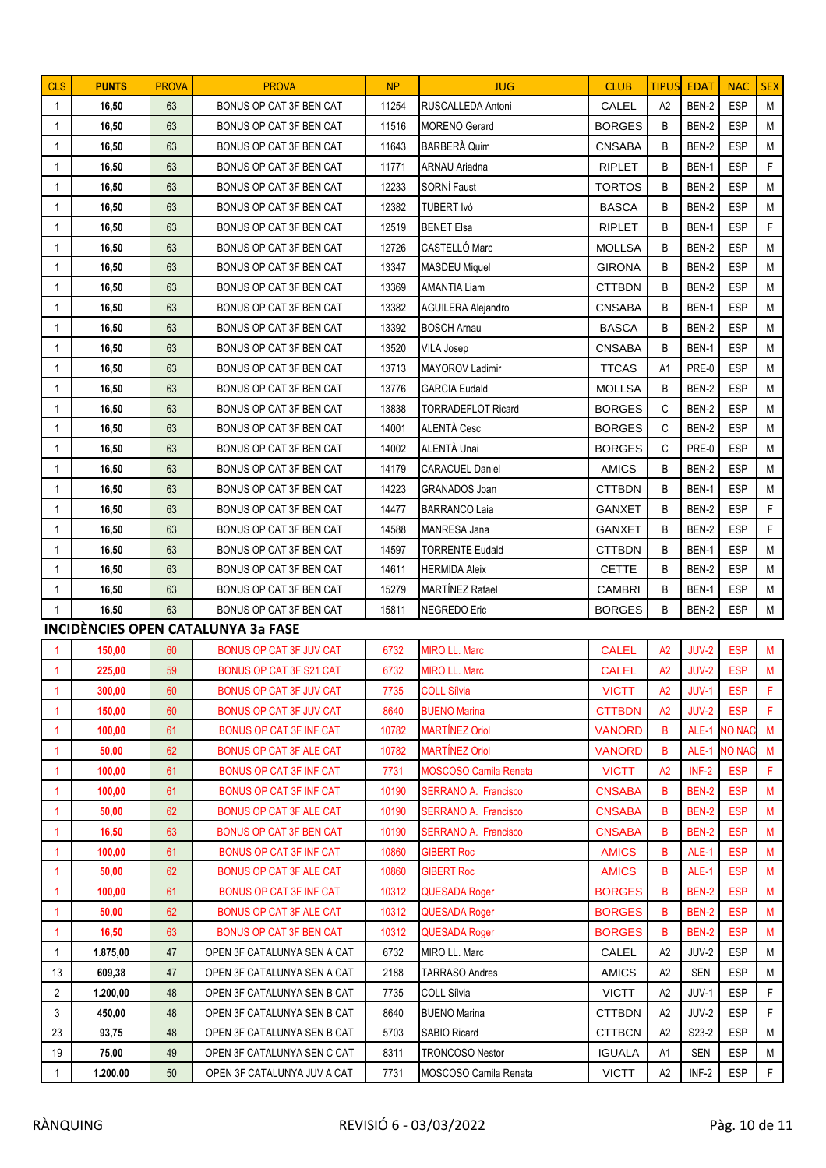| <b>CLS</b>     | <b>PUNTS</b> | <b>PROVA</b> | <b>PROVA</b>                       | <b>NP</b>    | <b>JUG</b>                                 | <b>CLUB</b>   | <b>TIPUS</b>   | <b>EDAT</b>    | <b>NAC</b>               | <b>SEX</b>  |
|----------------|--------------|--------------|------------------------------------|--------------|--------------------------------------------|---------------|----------------|----------------|--------------------------|-------------|
| $\mathbf{1}$   | 16,50        | 63           | BONUS OP CAT 3F BEN CAT            | 11254        | RUSCALLEDA Antoni                          | CALEL         | A2             | BEN-2          | <b>ESP</b>               | M           |
| $\mathbf{1}$   | 16,50        | 63           | BONUS OP CAT 3F BEN CAT            | 11516        | <b>MORENO</b> Gerard                       | <b>BORGES</b> | B              | BEN-2          | <b>ESP</b>               | M           |
| 1              | 16,50        | 63           | BONUS OP CAT 3F BEN CAT            | 11643        | BARBERÀ Quim                               | <b>CNSABA</b> | B              | BEN-2          | <b>ESP</b>               | M           |
| 1              | 16,50        | 63           | BONUS OP CAT 3F BEN CAT            | 11771        | <b>ARNAU Ariadna</b>                       | <b>RIPLET</b> | B              | BEN-1          | <b>ESP</b>               | F           |
| 1              | 16,50        | 63           | BONUS OP CAT 3F BEN CAT            | 12233        | SORNÍ Faust                                | <b>TORTOS</b> | B              | BEN-2          | <b>ESP</b>               | M           |
| $\mathbf{1}$   | 16,50        | 63           | BONUS OP CAT 3F BEN CAT            | 12382        | TUBERT Ivó                                 | <b>BASCA</b>  | B              | BEN-2          | <b>ESP</b>               | М           |
| $\mathbf{1}$   | 16,50        | 63           | BONUS OP CAT 3F BEN CAT            | 12519        | <b>BENET Elsa</b>                          | <b>RIPLET</b> | B              | BEN-1          | <b>ESP</b>               | F           |
| $\mathbf{1}$   | 16,50        | 63           | BONUS OP CAT 3F BEN CAT            | 12726        | CASTELLÓ Marc                              | <b>MOLLSA</b> | B              | BEN-2          | <b>ESP</b>               | M           |
| 1              | 16,50        | 63           | BONUS OP CAT 3F BEN CAT            | 13347        | <b>MASDEU Miquel</b>                       | <b>GIRONA</b> | B              | BEN-2          | <b>ESP</b>               | M           |
| 1              | 16,50        | 63           | BONUS OP CAT 3F BEN CAT            | 13369        | <b>AMANTIA Liam</b>                        | <b>CTTBDN</b> | B              | BEN-2          | <b>ESP</b>               | M           |
| 1              | 16,50        | 63           | BONUS OP CAT 3F BEN CAT            | 13382        | <b>AGUILERA Alejandro</b>                  | <b>CNSABA</b> | B              | BEN-1          | <b>ESP</b>               | M           |
| 1              | 16,50        | 63           | BONUS OP CAT 3F BEN CAT            | 13392        | <b>BOSCH Arnau</b>                         | <b>BASCA</b>  | B              | BEN-2          | <b>ESP</b>               | M           |
| $\mathbf{1}$   | 16,50        | 63           | BONUS OP CAT 3F BEN CAT            | 13520        | <b>VILA Josep</b>                          | <b>CNSABA</b> | B              | BEN-1          | <b>ESP</b>               | M           |
| $\mathbf{1}$   | 16,50        | 63           | BONUS OP CAT 3F BEN CAT            | 13713        | MAYOROV Ladimir                            | <b>TTCAS</b>  | A <sub>1</sub> | PRE-0          | <b>ESP</b>               | M           |
| 1              | 16,50        | 63           | BONUS OP CAT 3F BEN CAT            | 13776        | <b>GARCIA Eudald</b>                       | <b>MOLLSA</b> | B              | BEN-2          | ESP                      | M           |
| 1              | 16,50        | 63           | BONUS OP CAT 3F BEN CAT            | 13838        | <b>TORRADEFLOT Ricard</b>                  | <b>BORGES</b> | C              | BEN-2          | <b>ESP</b>               | M           |
| 1              | 16,50        | 63           | BONUS OP CAT 3F BEN CAT            | 14001        | ALENTÀ Cesc                                | <b>BORGES</b> | C              | BEN-2          | <b>ESP</b>               | M           |
| $\mathbf{1}$   | 16,50        | 63           | BONUS OP CAT 3F BEN CAT            | 14002        | ALENTÀ Unai                                | <b>BORGES</b> | C              | PRE-0          | <b>ESP</b>               | M           |
| 1              | 16,50        | 63           | BONUS OP CAT 3F BEN CAT            | 14179        | <b>CARACUEL Daniel</b>                     | <b>AMICS</b>  | B              | BEN-2          | <b>ESP</b>               | M           |
| 1              | 16,50        | 63           | BONUS OP CAT 3F BEN CAT            | 14223        | GRANADOS Joan                              | <b>CTTBDN</b> | B              | BEN-1          | <b>ESP</b>               | M           |
| $\mathbf{1}$   | 16,50        | 63           | BONUS OP CAT 3F BEN CAT            | 14477        | <b>BARRANCO Laia</b>                       | <b>GANXET</b> | B              | BEN-2          | <b>ESP</b>               | F.          |
| 1              | 16,50        | 63           | BONUS OP CAT 3F BEN CAT            | 14588        | <b>MANRESA Jana</b>                        | <b>GANXET</b> | B              | BEN-2          | <b>ESP</b>               | F           |
| 1              | 16,50        | 63           | BONUS OP CAT 3F BEN CAT            | 14597        | <b>TORRENTE Eudald</b>                     | <b>CTTBDN</b> | B              | BEN-1          | <b>ESP</b>               | M           |
| $\mathbf{1}$   | 16,50        | 63           | BONUS OP CAT 3F BEN CAT            | 14611        | <b>HERMIDA Aleix</b>                       | <b>CETTE</b>  | B              | BEN-2          | <b>ESP</b>               | M           |
| $\mathbf{1}$   | 16,50        | 63           | BONUS OP CAT 3F BEN CAT            | 15279        | <b>MARTÍNEZ Rafael</b>                     | <b>CAMBRI</b> | B              | BEN-1          | <b>ESP</b>               | М           |
| $\mathbf{1}$   | 16,50        | 63           | BONUS OP CAT 3F BEN CAT            | 15811        | <b>NEGREDO</b> Eric                        | <b>BORGES</b> | B              | BEN-2          | <b>ESP</b>               | M           |
|                |              |              | INCIDÈNCIES OPEN CATALUNYA 3a FASE |              |                                            |               |                |                |                          |             |
|                | 150,00       | 60           | BONUS OP CAT 3F JUV CAT            | 6732         | <b>MIRO LL. Marc</b>                       | <b>CALEL</b>  | A <sub>2</sub> | JUV-2          | <b>ESP</b>               | М           |
| $\overline{1}$ | 225,00       | 59           | <b>BONUS OP CAT 3F S21 CAT</b>     | 6732         | <b>MIRO LL. Marc</b>                       | <b>CALEL</b>  | A2             | JUV-2          | <b>ESP</b>               | M           |
|                | 300,00       | 60           | BONUS OP CAT 3F JUV CAT            | 7735         | <b>COLL Sílvia</b>                         | <b>VICTT</b>  | A2             | $JUV-1$        | <b>ESP</b>               | F           |
| $\overline{1}$ | 150,00       | 60           | BONUS OP CAT 3F JUV CAT            | 8640         | <b>BUENO Marina</b>                        | <b>CTTBDN</b> | A2             | JUV-2          | <b>ESP</b>               | F           |
| $\overline{1}$ | 100,00       | 61           | BONUS OP CAT 3F INF CAT            | 10782        | <b>MARTÍNEZ Oriol</b>                      | <b>VANORD</b> | B              | ALE-1          | <b>NO NAC</b>            | M           |
| $\mathbf{1}$   | 50,00        | 62           | BONUS OP CAT 3F ALE CAT            | 10782        | <b>MARTÍNEZ Oriol</b>                      | <b>VANORD</b> | B              | ALE-1          | <b>NO NAC</b>            | M           |
| $\mathbf{1}$   | 100,00       | 61           | BONUS OP CAT 3F INF CAT            | 7731         | <b>MOSCOSO Camila Renata</b>               | <b>VICTT</b>  | A2             | $INF-2$        | <b>ESP</b>               | F           |
| -1             | 100,00       | 61           | BONUS OP CAT 3F INF CAT            | 10190        | <b>SERRANO A. Francisco</b>                | <b>CNSABA</b> | B              | BEN-2          | <b>ESP</b>               | М           |
| $\mathbf{1}$   | 50,00        | 62           | BONUS OP CAT 3F ALE CAT            | 10190        | SERRANO A. Francisco                       | <b>CNSABA</b> | B              | BEN-2          | <b>ESP</b>               | M           |
| $\mathbf{1}$   | 16,50        | 63           | BONUS OP CAT 3F BEN CAT            | 10190        | <b>SERRANO A. Francisco</b>                | <b>CNSABA</b> | B              | <b>BEN-2</b>   | <b>ESP</b>               | М           |
| $\mathbf{1}$   | 100,00       | 61           | <b>BONUS OP CAT 3F INF CAT</b>     | 10860        | <b>GIBERT Roc</b>                          | <b>AMICS</b>  | B              | ALE-1          | <b>ESP</b>               | M           |
| $\mathbf{1}$   | 50,00        | 62           | <b>BONUS OP CAT 3F ALE CAT</b>     | 10860        | <b>GIBERT Roc</b>                          | <b>AMICS</b>  | B              | ALE-1          | <b>ESP</b>               | М           |
| $\overline{1}$ | 100,00       | 61           | BONUS OP CAT 3F INF CAT            | 10312        | <b>QUESADA Roger</b>                       | <b>BORGES</b> | B              | BEN-2          | <b>ESP</b>               | М           |
| -1             | 50,00        | 62           | BONUS OP CAT 3F ALE CAT            | 10312        | <b>QUESADA Roger</b>                       | <b>BORGES</b> | B              | BEN-2          | <b>ESP</b>               | M           |
| 1              | 16,50        | 63           | BONUS OP CAT 3F BEN CAT            | 10312        | <b>QUESADA Roger</b><br>MIRO LL. Marc      | <b>BORGES</b> | B              | BEN-2<br>JUV-2 | <b>ESP</b><br><b>ESP</b> | М<br>М      |
| $\mathbf{1}$   | 1.875,00     | 47           | OPEN 3F CATALUNYA SEN A CAT        | 6732         |                                            | CALEL         | A2             |                | <b>ESP</b>               |             |
| 13             | 609,38       | 47           | OPEN 3F CATALUNYA SEN A CAT        | 2188         | TARRASO Andres                             | <b>AMICS</b>  | A2             | SEN            |                          | М           |
| $\overline{2}$ | 1.200,00     | 48           | OPEN 3F CATALUNYA SEN B CAT        | 7735         | COLL Sílvia                                | <b>VICTT</b>  | A2             | JUV-1          | <b>ESP</b>               | F<br>F      |
| 3              | 450,00       | 48           | OPEN 3F CATALUNYA SEN B CAT        | 8640         | <b>BUENO Marina</b><br><b>SABIO Ricard</b> | <b>CTTBDN</b> | A2             | JUV-2<br>S23-2 | <b>ESP</b>               | M           |
| 23<br>19       | 93,75        | 48<br>49     | OPEN 3F CATALUNYA SEN B CAT        | 5703<br>8311 | <b>TRONCOSO Nestor</b>                     | <b>CTTBCN</b> | A2             | <b>SEN</b>     | ESP<br><b>ESP</b>        | M           |
|                | 75,00        |              | OPEN 3F CATALUNYA SEN C CAT        |              |                                            | <b>IGUALA</b> | A1             |                |                          |             |
| $\mathbf{1}$   | 1.200,00     | 50           | OPEN 3F CATALUNYA JUV A CAT        | 7731         | MOSCOSO Camila Renata                      | <b>VICTT</b>  | A2             | INF-2          | <b>ESP</b>               | $\mathsf F$ |